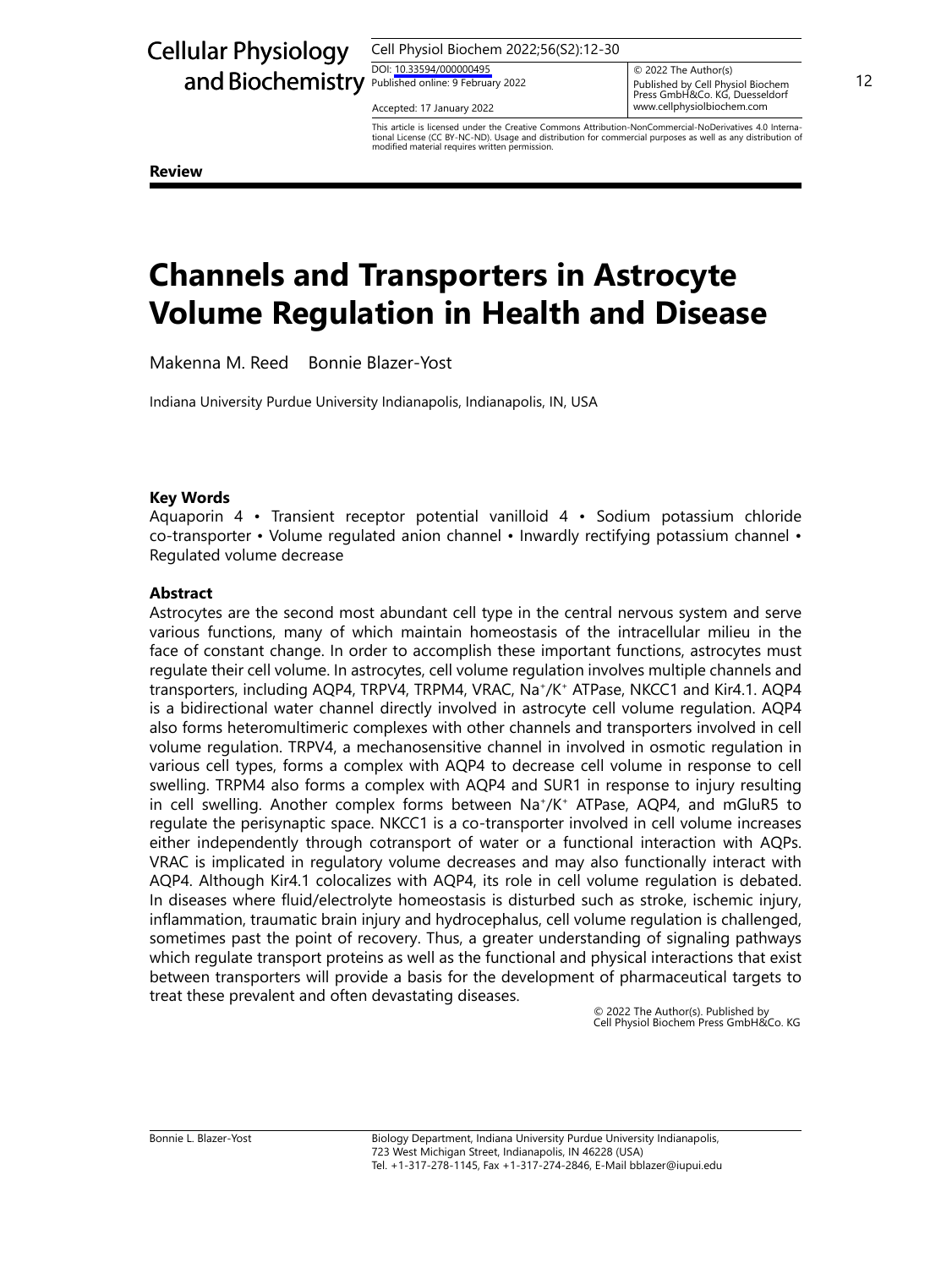# Cellular Physiology

Cell Physiol Biochem 2022;56(S2):12-30

DOI: [10.33594/00000049](https://doi.org/10.33594/000000495)5 DOI: 10.33594/000000495

Accepted: 17 January 2022 **Accepted: 17 January 2022** 

and Biochemistry Published online: 9 February 2022<br>Published online: 9 February 2022<br>Press GmbH&Co KG Duesseldorf © 2022 The Author(s) Published by Cell Physiol Biochem<br>Press GmbH&Co. KG, Duesseldorf www.cellphysiolbiochem.com

> This article is licensed under the Creative Commons Attribution-NonCommercial-NoDerivatives 4.0 International License (CC BY-NC-ND). Usage and distribution for commercial purposes as well as any distribution of modified material requires written permission.

**Review**

## **Channels and Transporters in Astrocyte Volume Regulation in Health and Disease**

Makenna M. Reed Bonnie Blazer-Yost

Indiana University Purdue University Indianapolis, Indianapolis, IN, USA

## **Key Words**

Aquaporin 4 • Transient receptor potential vanilloid 4 • Sodium potassium chloride co-transporter • Volume regulated anion channel • Inwardly rectifying potassium channel • Regulated volume decrease

## **Abstract**

Astrocytes are the second most abundant cell type in the central nervous system and serve various functions, many of which maintain homeostasis of the intracellular milieu in the face of constant change. In order to accomplish these important functions, astrocytes must regulate their cell volume. In astrocytes, cell volume regulation involves multiple channels and transporters, including AQP4, TRPV4, TRPM4, VRAC, Na+/K+ ATPase, NKCC1 and Kir4.1. AQP4 is a bidirectional water channel directly involved in astrocyte cell volume regulation. AQP4 also forms heteromultimeric complexes with other channels and transporters involved in cell volume regulation. TRPV4, a mechanosensitive channel in involved in osmotic regulation in various cell types, forms a complex with AQP4 to decrease cell volume in response to cell swelling. TRPM4 also forms a complex with AQP4 and SUR1 in response to injury resulting in cell swelling. Another complex forms between  $\text{Na}^*/\text{K}^+$  ATPase, AQP4, and mGluR5 to regulate the perisynaptic space. NKCC1 is a co-transporter involved in cell volume increases either independently through cotransport of water or a functional interaction with AQPs. VRAC is implicated in regulatory volume decreases and may also functionally interact with AQP4. Although Kir4.1 colocalizes with AQP4, its role in cell volume regulation is debated. In diseases where fluid/electrolyte homeostasis is disturbed such as stroke, ischemic injury, inflammation, traumatic brain injury and hydrocephalus, cell volume regulation is challenged, sometimes past the point of recovery. Thus, a greater understanding of signaling pathways which regulate transport proteins as well as the functional and physical interactions that exist between transporters will provide a basis for the development of pharmaceutical targets to treat these prevalent and often devastating diseases.

© 2022 The Author(s). Published by Cell Physiol Biochem Press GmbH&Co. KG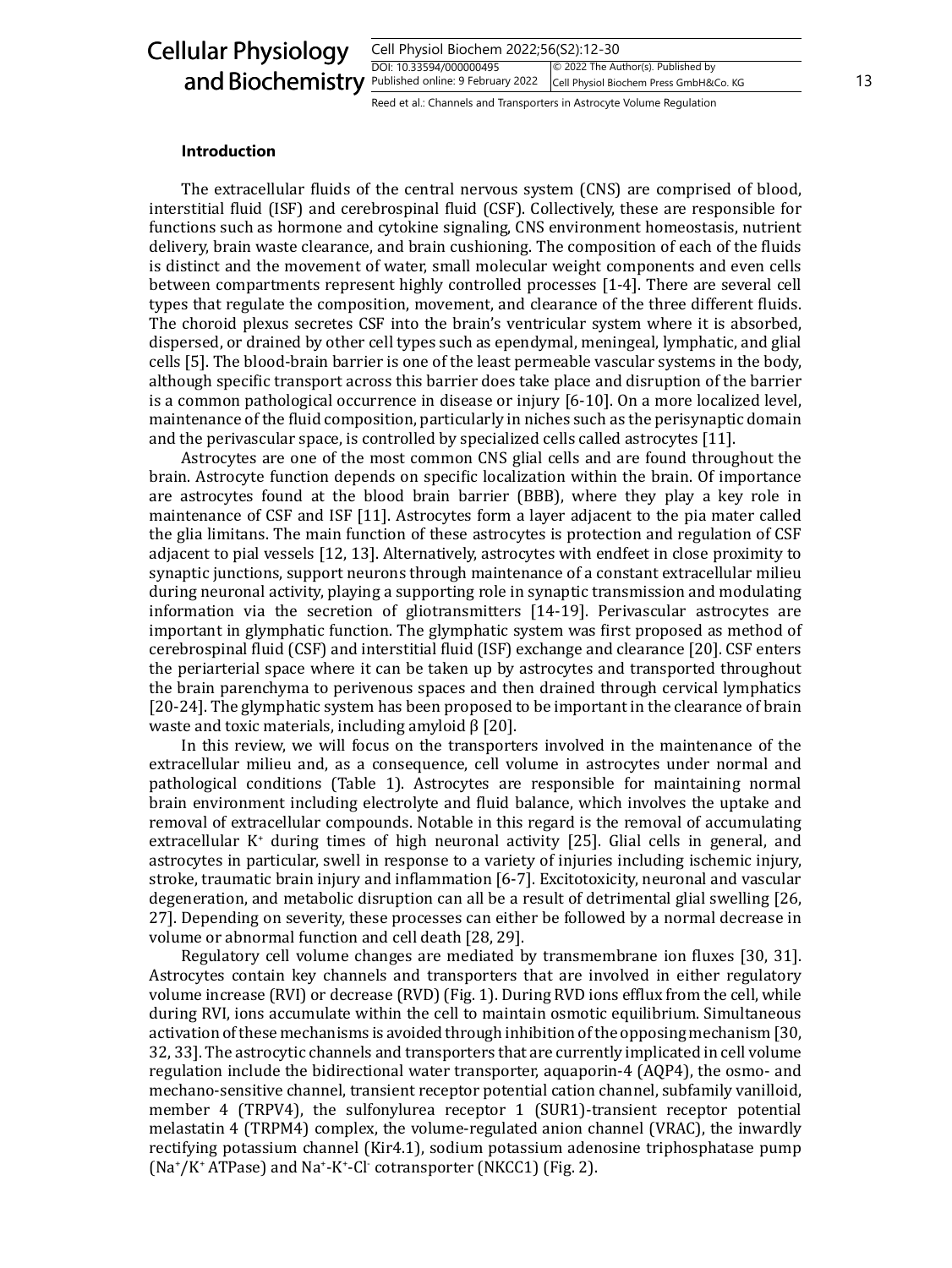## Cellular Physiology and Biochemistry

| Cell Physiol Biochem 2022;56(S2):12-30                                      |    |
|-----------------------------------------------------------------------------|----|
| © 2022 The Author(s). Published by<br>DOI: 10.33594/000000495               |    |
| Published online: 9 February 2022<br>Cell Physiol Biochem Press GmbH&Co. KG | 13 |

Reed et al.: Channels and Transporters in Astrocyte Volume Regulation

#### **Introduction**

The extracellular fluids of the central nervous system (CNS) are comprised of blood, interstitial fluid (ISF) and cerebrospinal fluid (CSF). Collectively, these are responsible for functions such as hormone and cytokine signaling, CNS environment homeostasis, nutrient delivery, brain waste clearance, and brain cushioning. The composition of each of the fluids is distinct and the movement of water, small molecular weight components and even cells between compartments represent highly controlled processes [1-4]. There are several cell types that regulate the composition, movement, and clearance of the three different fluids. The choroid plexus secretes CSF into the brain's ventricular system where it is absorbed, dispersed, or drained by other cell types such as ependymal, meningeal, lymphatic, and glial cells [5]. The blood-brain barrier is one of the least permeable vascular systems in the body, although specific transport across this barrier does take place and disruption of the barrier is a common pathological occurrence in disease or injury [6-10]. On a more localized level, maintenance of the fluid composition, particularly in niches such as the perisynaptic domain and the perivascular space, is controlled by specialized cells called astrocytes [11].

Astrocytes are one of the most common CNS glial cells and are found throughout the brain. Astrocyte function depends on specific localization within the brain. Of importance are astrocytes found at the blood brain barrier (BBB), where they play a key role in maintenance of CSF and ISF [11]. Astrocytes form a layer adjacent to the pia mater called the glia limitans. The main function of these astrocytes is protection and regulation of CSF adjacent to pial vessels [12, 13]. Alternatively, astrocytes with endfeet in close proximity to synaptic junctions, support neurons through maintenance of a constant extracellular milieu during neuronal activity, playing a supporting role in synaptic transmission and modulating information via the secretion of gliotransmitters [14-19]. Perivascular astrocytes are important in glymphatic function. The glymphatic system was first proposed as method of cerebrospinal fluid (CSF) and interstitial fluid (ISF) exchange and clearance [20]. CSF enters the periarterial space where it can be taken up by astrocytes and transported throughout the brain parenchyma to perivenous spaces and then drained through cervical lymphatics [20-24]. The glymphatic system has been proposed to be important in the clearance of brain waste and toxic materials, including amyloid β [20].

In this review, we will focus on the transporters involved in the maintenance of the extracellular milieu and, as a consequence, cell volume in astrocytes under normal and pathological conditions (Table 1). Astrocytes are responsible for maintaining normal brain environment including electrolyte and fluid balance, which involves the uptake and removal of extracellular compounds. Notable in this regard is the removal of accumulating extracellular K<sup>+</sup> during times of high neuronal activity [25]. Glial cells in general, and astrocytes in particular, swell in response to a variety of injuries including ischemic injury, stroke, traumatic brain injury and inflammation [6-7]. Excitotoxicity, neuronal and vascular degeneration, and metabolic disruption can all be a result of detrimental glial swelling [26, 27]. Depending on severity, these processes can either be followed by a normal decrease in volume or abnormal function and cell death [28, 29].

Regulatory cell volume changes are mediated by transmembrane ion fluxes [30, 31]. Astrocytes contain key channels and transporters that are involved in either regulatory volume increase (RVI) or decrease (RVD) (Fig. 1). During RVD ions efflux from the cell, while during RVI, ions accumulate within the cell to maintain osmotic equilibrium. Simultaneous activation of these mechanisms is avoided through inhibition of the opposing mechanism [30, 32, 33]. The astrocytic channels and transporters that are currently implicated in cell volume regulation include the bidirectional water transporter, aquaporin-4 (AQP4), the osmo- and mechano-sensitive channel, transient receptor potential cation channel, subfamily vanilloid, member 4 (TRPV4), the sulfonylurea receptor 1 (SUR1)-transient receptor potential melastatin 4 (TRPM4) complex, the volume-regulated anion channel (VRAC), the inwardly rectifying potassium channel (Kir4.1), sodium potassium adenosine triphosphatase pump (Na<sup>+</sup>/K<sup>+</sup> ATPase) and Na<sup>+</sup>-K<sup>+</sup>-Cl<sup>-</sup> cotransporter (NKCC1) (Fig. 2).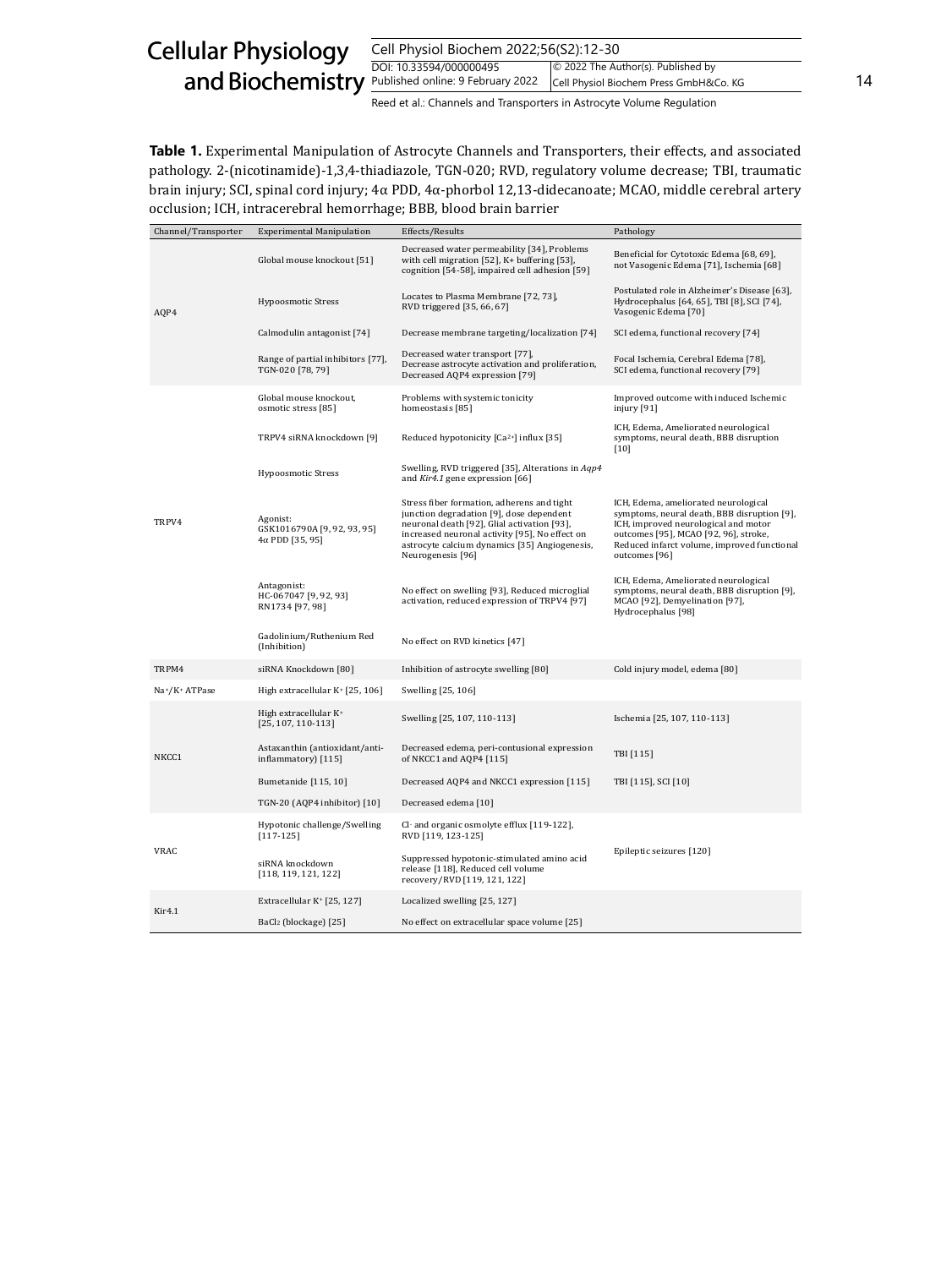| <b>Cellular Physiology</b>                         | Cell Physiol Biochem 2022;56(S2):12-30                                |                                                                              |    |
|----------------------------------------------------|-----------------------------------------------------------------------|------------------------------------------------------------------------------|----|
| and Biochemistry Published online: 9 February 2022 | DOI: 10.33594/000000495                                               | © 2022 The Author(s). Published by<br>Cell Physiol Biochem Press GmbH&Co. KG | 14 |
|                                                    | Reed et al.: Channels and Transporters in Astrocyte Volume Regulation |                                                                              |    |

**Table 1.** Experimental Manipulation of Astrocyte Channels and Transporters, their effects, and associated pathology. 2-(nicotinamide)-1,3,4-thiadiazole, TGN-020; RVD, regulatory volume decrease; TBI, traumatic brain injury; SCI, spinal cord injury; 4α PDD, 4α-phorbol 12,13-didecanoate; MCAO, middle cerebral artery occlusion; ICH, intracerebral hemorrhage; BBB, blood brain barrier

| Channel/Transporter | <b>Experimental Manipulation</b>                                  | Effects/Results                                                                                                                                                                                                                                               | Pathology                                                                                                                                                                                                                            |
|---------------------|-------------------------------------------------------------------|---------------------------------------------------------------------------------------------------------------------------------------------------------------------------------------------------------------------------------------------------------------|--------------------------------------------------------------------------------------------------------------------------------------------------------------------------------------------------------------------------------------|
| AQP4                | Global mouse knockout [51]                                        | Decreased water permeability [34], Problems<br>with cell migration [52], K+ buffering [53],<br>cognition [54-58], impaired cell adhesion [59]                                                                                                                 | Beneficial for Cytotoxic Edema [68, 69],<br>not Vasogenic Edema [71], Ischemia [68]                                                                                                                                                  |
|                     | <b>Hypoosmotic Stress</b>                                         | Locates to Plasma Membrane [72, 73],<br>RVD triggered [35, 66, 67]                                                                                                                                                                                            | Postulated role in Alzheimer's Disease [63],<br>Hydrocephalus [64, 65], TBI [8], SCI [74],<br>Vasogenic Edema [70]                                                                                                                   |
|                     | Calmodulin antagonist [74]                                        | Decrease membrane targeting/localization [74]                                                                                                                                                                                                                 | SCI edema, functional recovery [74]                                                                                                                                                                                                  |
|                     | Range of partial inhibitors [77],<br>TGN-020 [78, 79]             | Decreased water transport [77],<br>Decrease astrocyte activation and proliferation,<br>Decreased AQP4 expression [79]                                                                                                                                         | Focal Ischemia, Cerebral Edema [78],<br>SCI edema, functional recovery [79]                                                                                                                                                          |
|                     | Global mouse knockout,<br>osmotic stress [85]                     | Problems with systemic tonicity<br>homeostasis [85]                                                                                                                                                                                                           | Improved outcome with induced Ischemic<br>injury [91]                                                                                                                                                                                |
|                     | TRPV4 siRNA knockdown [9]                                         | Reduced hypotonicity [Ca <sup>2+</sup> ] influx [35]                                                                                                                                                                                                          | ICH, Edema, Ameliorated neurological<br>symptoms, neural death, BBB disruption<br>$[10]$                                                                                                                                             |
| TRPV4               | <b>Hypoosmotic Stress</b>                                         | Swelling, RVD triggered [35], Alterations in Aqp4<br>and Kir4.1 gene expression [66]                                                                                                                                                                          |                                                                                                                                                                                                                                      |
|                     | Agonist:<br>GSK1016790A [9, 92, 93, 95]<br>$4\alpha$ PDD [35, 95] | Stress fiber formation, adherens and tight<br>junction degradation [9], dose dependent<br>neuronal death [92], Glial activation [93],<br>increased neuronal activity [95], No effect on<br>astrocyte calcium dynamics [35] Angiogenesis,<br>Neurogenesis [96] | ICH, Edema, ameliorated neurological<br>symptoms, neural death, BBB disruption [9],<br>ICH, improved neurological and motor<br>outcomes [95], MCAO [92, 96], stroke,<br>Reduced infarct volume, improved functional<br>outcomes [96] |
|                     | Antagonist:<br>HC-067047 [9, 92, 93]<br>RN1734 [97, 98]           | No effect on swelling [93], Reduced microglial<br>activation, reduced expression of TRPV4 [97]                                                                                                                                                                | ICH, Edema, Ameliorated neurological<br>symptoms, neural death, BBB disruption [9],<br>MCAO [92], Demyelination [97],<br>Hydrocephalus [98]                                                                                          |
|                     | Gadolinium/Ruthenium Red<br>(Inhibition)                          | No effect on RVD kinetics [47]                                                                                                                                                                                                                                |                                                                                                                                                                                                                                      |
| TRPM4               | siRNA Knockdown [80]                                              | Inhibition of astrocyte swelling [80]                                                                                                                                                                                                                         | Cold injury model, edema [80]                                                                                                                                                                                                        |
| Na+/K+ ATPase       | High extracellular K+ [25, 106]                                   | Swelling [25, 106]                                                                                                                                                                                                                                            |                                                                                                                                                                                                                                      |
|                     | High extracellular K+<br>$[25, 107, 110-113]$                     | Swelling [25, 107, 110-113]                                                                                                                                                                                                                                   | Ischemia [25, 107, 110-113]                                                                                                                                                                                                          |
| NKCC1               | Astaxanthin (antioxidant/anti-<br>inflammatory $[115]$            | Decreased edema, peri-contusional expression<br>of NKCC1 and AQP4 [115]                                                                                                                                                                                       | TBI [115]                                                                                                                                                                                                                            |
|                     | Bumetanide [115, 10]                                              | Decreased AQP4 and NKCC1 expression [115]                                                                                                                                                                                                                     | TBI [115], SCI [10]                                                                                                                                                                                                                  |
|                     | TGN-20 (AQP4 inhibitor) [10]                                      | Decreased edema [10]                                                                                                                                                                                                                                          |                                                                                                                                                                                                                                      |
|                     | Hypotonic challenge/Swelling<br>$[117-125]$                       | Cl- and organic osmolyte efflux [119-122],<br>RVD [119, 123-125]                                                                                                                                                                                              |                                                                                                                                                                                                                                      |
| VRAC                | siRNA knockdown<br>[118, 119, 121, 122]                           | Suppressed hypotonic-stimulated amino acid<br>release [118], Reduced cell volume<br>recovery/RVD [119, 121, 122]                                                                                                                                              | Epileptic seizures [120]                                                                                                                                                                                                             |
| Kir4.1              | Extracellular K <sup>+</sup> [25, 127]                            | Localized swelling [25, 127]                                                                                                                                                                                                                                  |                                                                                                                                                                                                                                      |
|                     | BaCl <sub>2</sub> (blockage) [25]                                 | No effect on extracellular space volume [25]                                                                                                                                                                                                                  |                                                                                                                                                                                                                                      |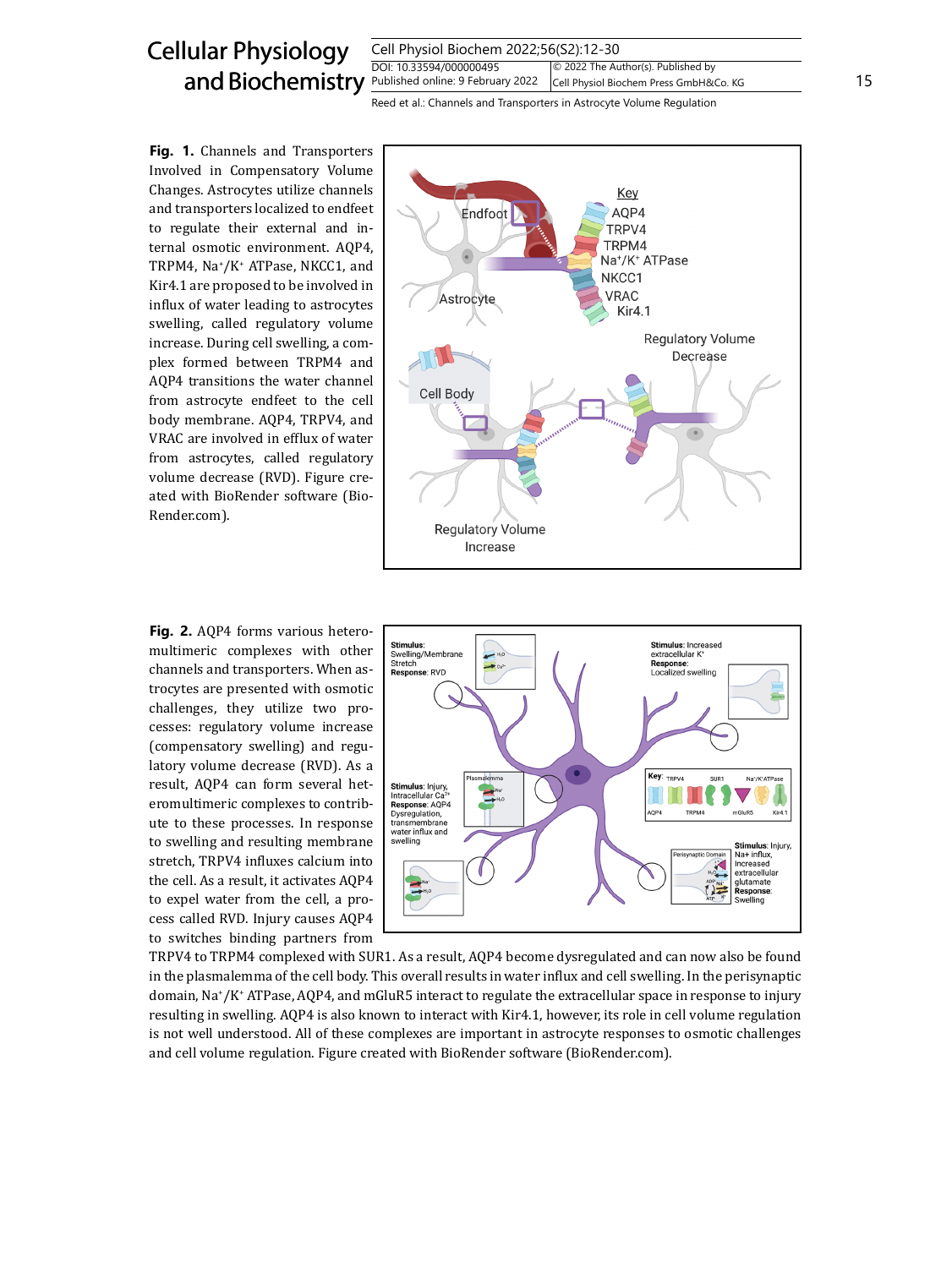

Fig. 1. Channels and Transporters Involved in Compensatory Volume Changes. Astrocytes utilize channels and transporters localized to endfeet to regulate their external and internal osmotic environment. AQP4, TRPM4, Na<sup>+</sup> /K+ ATPase, NKCC1, and Kir4.1 are proposed to be involved in influx of water leading to astrocytes swelling, called regulatory volume increase. During cell swelling, a complex formed between TRPM4 and AQP4 transitions the water channel from astrocyte endfeet to the cell body membrane. AQP4, TRPV4, and VRAC are involved in efflux of water from astrocytes, called regulatory volume decrease (RVD). Figure created with BioRender software (Bio-Render.com).



**Fig. 2.** AQP4 forms various heteromultimeric complexes with other channels and transporters. When astrocytes are presented with osmotic challenges, they utilize two processes: regulatory volume increase (compensatory swelling) and regulatory volume decrease (RVD). As a result, AQP4 can form several heteromultimeric complexes to contribute to these processes. In response to swelling and resulting membrane stretch, TRPV4 influxes calcium into the cell. As a result, it activates AQP4 to expel water from the cell, a process called RVD. Injury causes AQP4 to switches binding partners from



TRPV4 to TRPM4 complexed with SUR1. As a result, AQP4 become dysregulated and can now also be found in the plasmalemma of the cell body. This overall results in water influx and cell swelling. In the perisynaptic domain, Na<sup>+</sup> /K+ ATPase, AQP4, and mGluR5 interact to regulate the extracellular space in response to injury resulting in swelling. AQP4 is also known to interact with Kir4.1, however, its role in cell volume regulation is not well understood. All of these complexes are important in astrocyte responses to osmotic challenges and cell volume regulation. Figure created with BioRender software (BioRender.com).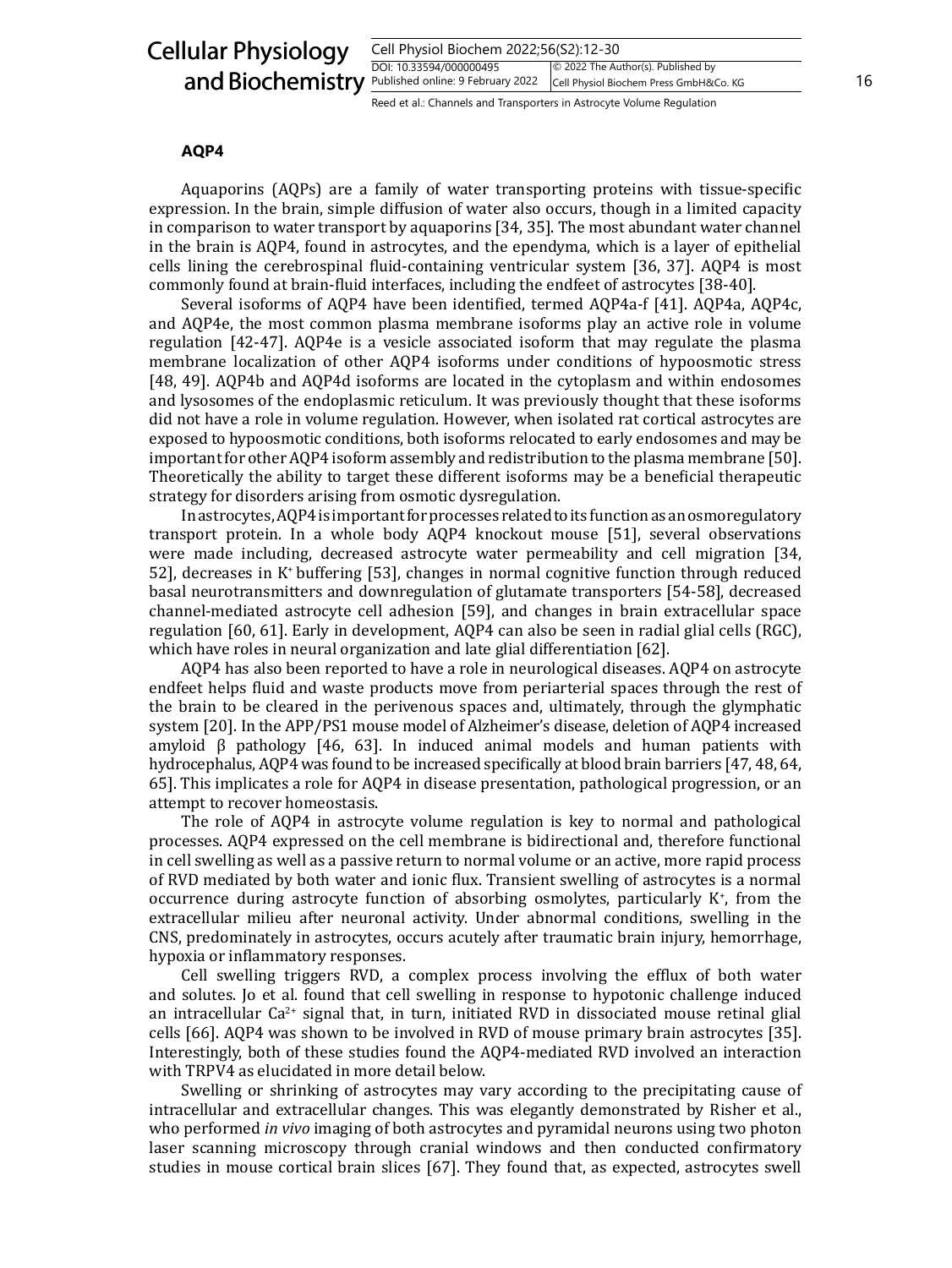## Cellular Physiology and Biochemistry

| Cell Physiol Biochem 2022;56(S2):12-30 |                                          |    |
|----------------------------------------|------------------------------------------|----|
| DOI: 10.33594/000000495                | $\circ$ 2022 The Author(s). Published by |    |
| Published online: 9 February 2022      | Cell Physiol Biochem Press GmbH&Co. KG   | 16 |
|                                        |                                          |    |

Reed et al.: Channels and Transporters in Astrocyte Volume Regulation

## **AQP4**

Aquaporins (AQPs) are a family of water transporting proteins with tissue-specific expression. In the brain, simple diffusion of water also occurs, though in a limited capacity in comparison to water transport by aquaporins [34, 35]. The most abundant water channel in the brain is AQP4, found in astrocytes, and the ependyma, which is a layer of epithelial cells lining the cerebrospinal fluid-containing ventricular system [36, 37]. AQP4 is most commonly found at brain-fluid interfaces, including the endfeet of astrocytes [38-40].

Several isoforms of AQP4 have been identified, termed AQP4a-f [41]. AQP4a, AQP4c, and AQP4e, the most common plasma membrane isoforms play an active role in volume regulation [42-47]. AQP4e is a vesicle associated isoform that may regulate the plasma membrane localization of other AQP4 isoforms under conditions of hypoosmotic stress [48, 49]. AQP4b and AQP4d isoforms are located in the cytoplasm and within endosomes and lysosomes of the endoplasmic reticulum. It was previously thought that these isoforms did not have a role in volume regulation. However, when isolated rat cortical astrocytes are exposed to hypoosmotic conditions, both isoforms relocated to early endosomes and may be important for other AQP4 isoform assembly and redistribution to the plasma membrane [50]. Theoretically the ability to target these different isoforms may be a beneficial therapeutic strategy for disorders arising from osmotic dysregulation.

In astrocytes, AQP4 is important for processes related to its function as an osmoregulatory transport protein. In a whole body AQP4 knockout mouse [51], several observations were made including, decreased astrocyte water permeability and cell migration [34, 52], decreases in K<sup>+</sup>buffering [53], changes in normal cognitive function through reduced basal neurotransmitters and downregulation of glutamate transporters [54-58], decreased channel-mediated astrocyte cell adhesion [59], and changes in brain extracellular space regulation [60, 61]. Early in development, AQP4 can also be seen in radial glial cells (RGC), which have roles in neural organization and late glial differentiation [62].

AQP4 has also been reported to have a role in neurological diseases. AQP4 on astrocyte endfeet helps fluid and waste products move from periarterial spaces through the rest of the brain to be cleared in the perivenous spaces and, ultimately, through the glymphatic system [20]. In the APP/PS1 mouse model of Alzheimer's disease, deletion of AQP4 increased amyloid  $\beta$  pathology [46, 63]. In induced animal models and human patients with hydrocephalus, AQP4 was found to be increased specifically at blood brain barriers [47, 48, 64, 65]. This implicates a role for AQP4 in disease presentation, pathological progression, or an attempt to recover homeostasis.

The role of AQP4 in astrocyte volume regulation is key to normal and pathological processes. AQP4 expressed on the cell membrane is bidirectional and, therefore functional in cell swelling as well as a passive return to normal volume or an active, more rapid process of RVD mediated by both water and ionic flux. Transient swelling of astrocytes is a normal occurrence during astrocyte function of absorbing osmolytes, particularly K<sup>+</sup> , from the extracellular milieu after neuronal activity. Under abnormal conditions, swelling in the CNS, predominately in astrocytes, occurs acutely after traumatic brain injury, hemorrhage, hypoxia or inflammatory responses.

Cell swelling triggers RVD, a complex process involving the efflux of both water and solutes. Jo et al. found that cell swelling in response to hypotonic challenge induced an intracellular  $Ca^{2+}$  signal that, in turn, initiated RVD in dissociated mouse retinal glial cells [66]. AQP4 was shown to be involved in RVD of mouse primary brain astrocytes [35]. Interestingly, both of these studies found the AQP4-mediated RVD involved an interaction with TRPV4 as elucidated in more detail below.

Swelling or shrinking of astrocytes may vary according to the precipitating cause of intracellular and extracellular changes. This was elegantly demonstrated by Risher et al., who performed *in vivo* imaging of both astrocytes and pyramidal neurons using two photon laser scanning microscopy through cranial windows and then conducted confirmatory studies in mouse cortical brain slices [67]. They found that, as expected, astrocytes swell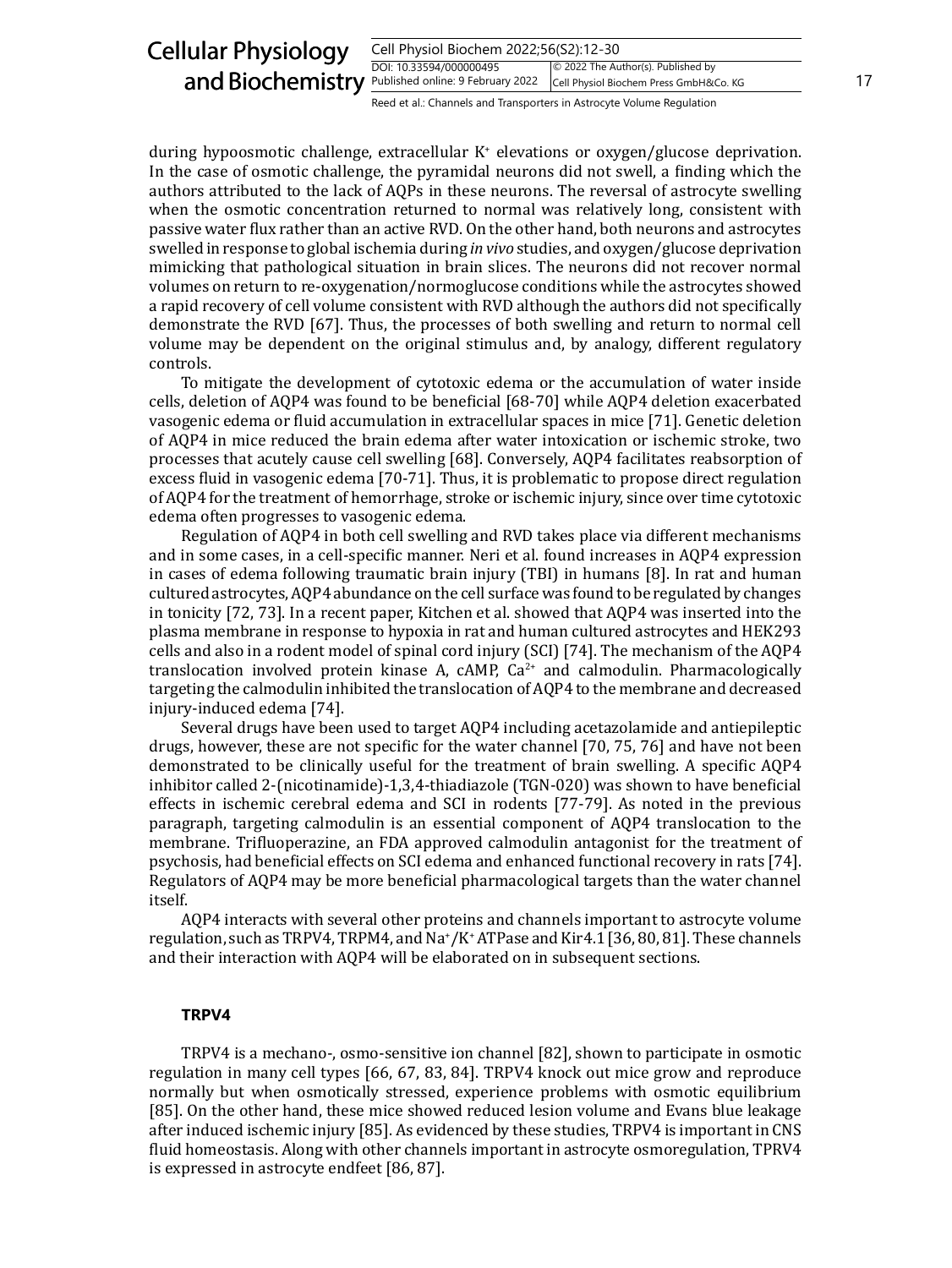| <b>Cellular Physiology</b>                                | Cell Physiol Biochem 2022;56(S2):12-30                                |                                                                              |  |
|-----------------------------------------------------------|-----------------------------------------------------------------------|------------------------------------------------------------------------------|--|
| and Biochemistry <b>Published online: 9 February 2022</b> | DOI: 10.33594/000000495                                               | © 2022 The Author(s). Published by<br>Cell Physiol Biochem Press GmbH&Co. KG |  |
|                                                           | Reed et al.: Channels and Transporters in Astrocyte Volume Regulation |                                                                              |  |

during hypoosmotic challenge, extracellular K<sup>+</sup> elevations or oxygen/glucose deprivation. In the case of osmotic challenge, the pyramidal neurons did not swell, a finding which the authors attributed to the lack of AQPs in these neurons. The reversal of astrocyte swelling when the osmotic concentration returned to normal was relatively long, consistent with passive water flux rather than an active RVD. On the other hand, both neurons and astrocytes swelled in response to global ischemia during *in vivo* studies, and oxygen/glucose deprivation mimicking that pathological situation in brain slices. The neurons did not recover normal volumes on return to re-oxygenation/normoglucose conditions while the astrocytes showed a rapid recovery of cell volume consistent with RVD although the authors did not specifically demonstrate the RVD [67]. Thus, the processes of both swelling and return to normal cell volume may be dependent on the original stimulus and, by analogy, different regulatory controls.

To mitigate the development of cytotoxic edema or the accumulation of water inside cells, deletion of AQP4 was found to be beneficial [68-70] while AQP4 deletion exacerbated vasogenic edema or fluid accumulation in extracellular spaces in mice [71]. Genetic deletion of AQP4 in mice reduced the brain edema after water intoxication or ischemic stroke, two processes that acutely cause cell swelling [68]. Conversely, AQP4 facilitates reabsorption of excess fluid in vasogenic edema [70-71]. Thus, it is problematic to propose direct regulation of AQP4 for the treatment of hemorrhage, stroke or ischemic injury, since over time cytotoxic edema often progresses to vasogenic edema.

Regulation of AQP4 in both cell swelling and RVD takes place via different mechanisms and in some cases, in a cell-specific manner. Neri et al. found increases in AQP4 expression in cases of edema following traumatic brain injury (TBI) in humans [8]. In rat and human cultured astrocytes, AQP4 abundance on the cell surface was found to be regulated by changes in tonicity [72, 73]. In a recent paper, Kitchen et al. showed that AQP4 was inserted into the plasma membrane in response to hypoxia in rat and human cultured astrocytes and HEK293 cells and also in a rodent model of spinal cord injury (SCI) [74]. The mechanism of the AQP4 translocation involved protein kinase A,  $cAMP$ ,  $Ca<sup>2+</sup>$  and calmodulin. Pharmacologically targeting the calmodulin inhibited the translocation of AQP4 to the membrane and decreased injury-induced edema [74].

Several drugs have been used to target AQP4 including acetazolamide and antiepileptic drugs, however, these are not specific for the water channel [70, 75, 76] and have not been demonstrated to be clinically useful for the treatment of brain swelling. A specific AQP4 inhibitor called 2-(nicotinamide)-1,3,4-thiadiazole (TGN-020) was shown to have beneficial effects in ischemic cerebral edema and SCI in rodents [77-79]. As noted in the previous paragraph, targeting calmodulin is an essential component of AQP4 translocation to the membrane. Trifluoperazine, an FDA approved calmodulin antagonist for the treatment of psychosis, had beneficial effects on SCI edema and enhanced functional recovery in rats [74]. Regulators of AQP4 may be more beneficial pharmacological targets than the water channel itself.

AQP4 interacts with several other proteins and channels important to astrocyte volume regulation, such as TRPV4, TRPM4, and Na<sup>+</sup> /K+ ATPase and Kir4.1 [36, 80, 81]. These channels and their interaction with AQP4 will be elaborated on in subsequent sections.

#### **TRPV4**

TRPV4 is a mechano-, osmo-sensitive ion channel [82], shown to participate in osmotic regulation in many cell types [66, 67, 83, 84]. TRPV4 knock out mice grow and reproduce normally but when osmotically stressed, experience problems with osmotic equilibrium [85]. On the other hand, these mice showed reduced lesion volume and Evans blue leakage after induced ischemic injury [85]. As evidenced by these studies, TRPV4 is important in CNS fluid homeostasis. Along with other channels important in astrocyte osmoregulation, TPRV4 is expressed in astrocyte endfeet [86, 87].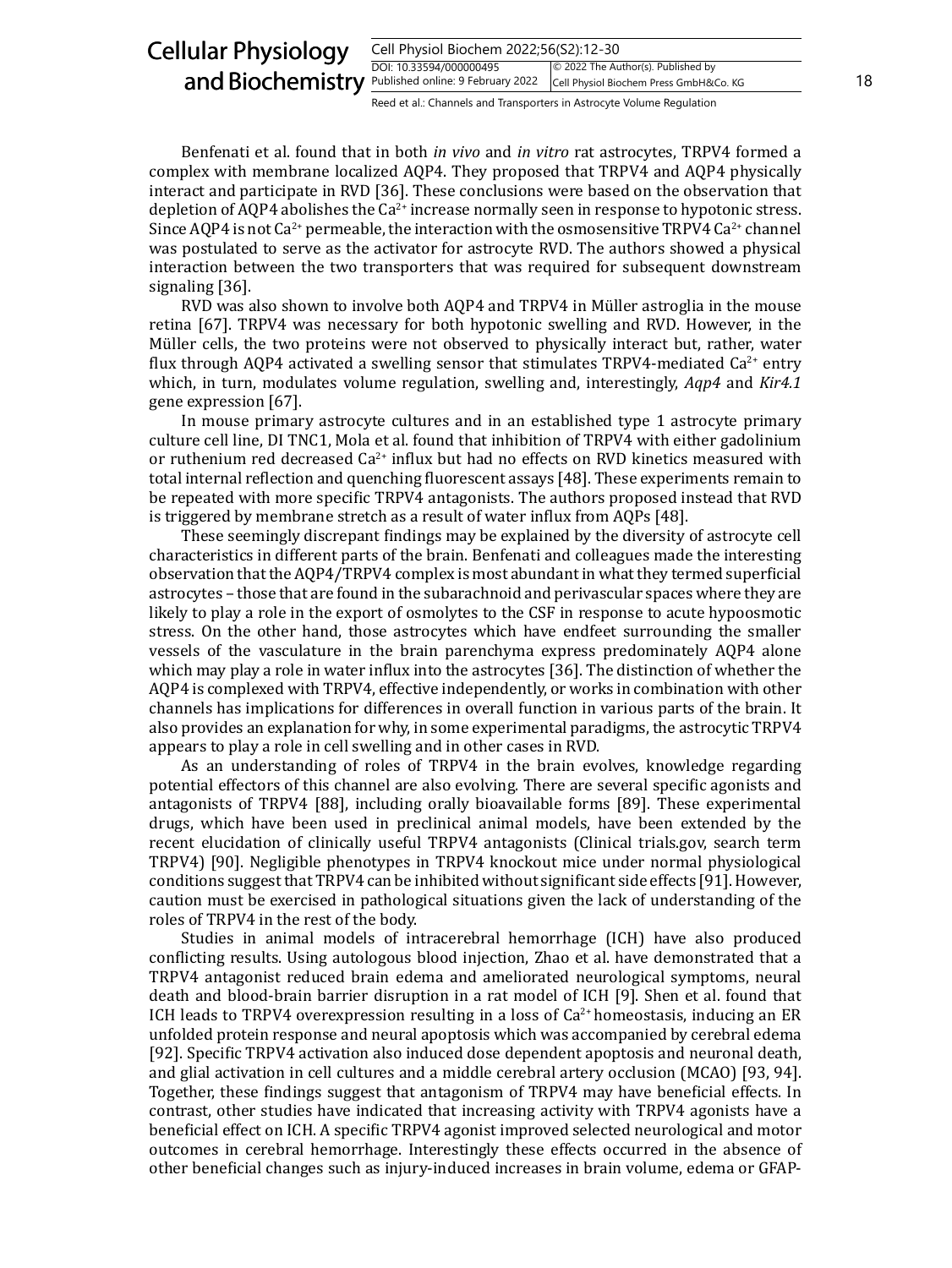| <b>Cellular Physiology</b><br>Cell Physiol Biochem 2022;56(S2):12-30 |                                                                       |                                                                              |    |
|----------------------------------------------------------------------|-----------------------------------------------------------------------|------------------------------------------------------------------------------|----|
| and Biochemistry Published online: 9 February 2022                   | DOI: 10.33594/000000495                                               | © 2022 The Author(s). Published by<br>Cell Physiol Biochem Press GmbH&Co. KG | 18 |
|                                                                      | Reed et al.: Channels and Transporters in Astrocyte Volume Regulation |                                                                              |    |

Benfenati et al. found that in both *in vivo* and *in vitro* rat astrocytes, TRPV4 formed a complex with membrane localized AQP4. They proposed that TRPV4 and AQP4 physically interact and participate in RVD [36]. These conclusions were based on the observation that depletion of AQP4 abolishes the  $Ca^{2+}$  increase normally seen in response to hypotonic stress. Since AQP4 is not  $Ca^{2+}$  permeable, the interaction with the osmosensitive TRPV4  $Ca^{2+}$  channel was postulated to serve as the activator for astrocyte RVD. The authors showed a physical interaction between the two transporters that was required for subsequent downstream signaling [36].

RVD was also shown to involve both AQP4 and TRPV4 in Müller astroglia in the mouse retina [67]. TRPV4 was necessary for both hypotonic swelling and RVD. However, in the Müller cells, the two proteins were not observed to physically interact but, rather, water flux through AQP4 activated a swelling sensor that stimulates TRPV4-mediated  $Ca^{2+}$  entry which, in turn, modulates volume regulation, swelling and, interestingly, *Aqp4* and *Kir4.1* gene expression [67].

In mouse primary astrocyte cultures and in an established type 1 astrocyte primary culture cell line, DI TNC1, Mola et al. found that inhibition of TRPV4 with either gadolinium or ruthenium red decreased Ca<sup>2+</sup> influx but had no effects on RVD kinetics measured with total internal reflection and quenching fluorescent assays [48]. These experiments remain to be repeated with more specific TRPV4 antagonists. The authors proposed instead that RVD is triggered by membrane stretch as a result of water influx from AQPs [48].

These seemingly discrepant findings may be explained by the diversity of astrocyte cell characteristics in different parts of the brain. Benfenati and colleagues made the interesting observation that the AQP4/TRPV4 complex is most abundant in what they termed superficial astrocytes – those that are found in the subarachnoid and perivascular spaces where they are likely to play a role in the export of osmolytes to the CSF in response to acute hypoosmotic stress. On the other hand, those astrocytes which have endfeet surrounding the smaller vessels of the vasculature in the brain parenchyma express predominately AQP4 alone which may play a role in water influx into the astrocytes [36]. The distinction of whether the AQP4 is complexed with TRPV4, effective independently, or works in combination with other channels has implications for differences in overall function in various parts of the brain. It also provides an explanation for why, in some experimental paradigms, the astrocytic TRPV4 appears to play a role in cell swelling and in other cases in RVD.

As an understanding of roles of TRPV4 in the brain evolves, knowledge regarding potential effectors of this channel are also evolving. There are several specific agonists and antagonists of TRPV4 [88], including orally bioavailable forms [89]. These experimental drugs, which have been used in preclinical animal models, have been extended by the recent elucidation of clinically useful TRPV4 antagonists (Clinical trials.gov, search term TRPV4) [90]. Negligible phenotypes in TRPV4 knockout mice under normal physiological conditions suggest that TRPV4 can be inhibited without significant side effects [91]. However, caution must be exercised in pathological situations given the lack of understanding of the roles of TRPV4 in the rest of the body.

Studies in animal models of intracerebral hemorrhage (ICH) have also produced conflicting results. Using autologous blood injection, Zhao et al. have demonstrated that a TRPV4 antagonist reduced brain edema and ameliorated neurological symptoms, neural death and blood-brain barrier disruption in a rat model of ICH [9]. Shen et al. found that ICH leads to TRPV4 overexpression resulting in a loss of  $Ca^{2+}$  homeostasis, inducing an ER unfolded protein response and neural apoptosis which was accompanied by cerebral edema [92]. Specific TRPV4 activation also induced dose dependent apoptosis and neuronal death, and glial activation in cell cultures and a middle cerebral artery occlusion (MCAO) [93, 94]. Together, these findings suggest that antagonism of TRPV4 may have beneficial effects. In contrast, other studies have indicated that increasing activity with TRPV4 agonists have a beneficial effect on ICH. A specific TRPV4 agonist improved selected neurological and motor outcomes in cerebral hemorrhage. Interestingly these effects occurred in the absence of other beneficial changes such as injury-induced increases in brain volume, edema or GFAP-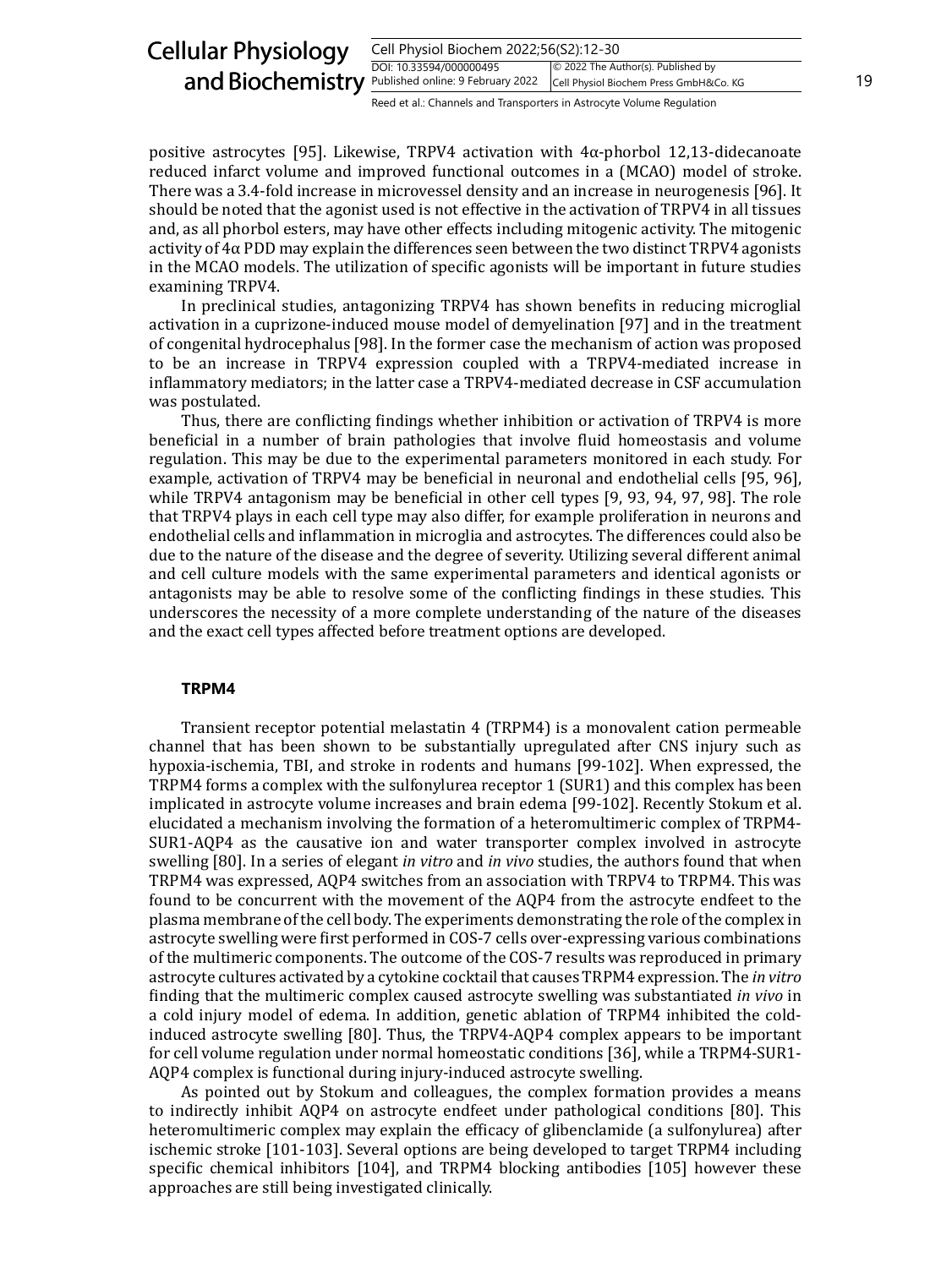| <b>Cellular Physiology</b><br>Cell Physiol Biochem 2022;56(S2):12-30 |                                                                       |                                                                              |    |
|----------------------------------------------------------------------|-----------------------------------------------------------------------|------------------------------------------------------------------------------|----|
| and Biochemistry Published online: 9 February 2022                   | DOI: 10.33594/000000495                                               | © 2022 The Author(s). Published by<br>Cell Physiol Biochem Press GmbH&Co. KG | 19 |
|                                                                      | Reed et al.: Channels and Transporters in Astrocyte Volume Regulation |                                                                              |    |

positive astrocytes [95]. Likewise, TRPV4 activation with 4α-phorbol 12,13-didecanoate reduced infarct volume and improved functional outcomes in a (MCAO) model of stroke. There was a 3.4-fold increase in microvessel density and an increase in neurogenesis [96]. It should be noted that the agonist used is not effective in the activation of TRPV4 in all tissues and, as all phorbol esters, may have other effects including mitogenic activity. The mitogenic activity of  $4\alpha$  PDD may explain the differences seen between the two distinct TRPV4 agonists in the MCAO models. The utilization of specific agonists will be important in future studies examining TRPV4.

In preclinical studies, antagonizing TRPV4 has shown benefits in reducing microglial activation in a cuprizone-induced mouse model of demyelination [97] and in the treatment of congenital hydrocephalus [98]. In the former case the mechanism of action was proposed to be an increase in TRPV4 expression coupled with a TRPV4-mediated increase in inflammatory mediators; in the latter case a TRPV4-mediated decrease in CSF accumulation was postulated.

Thus, there are conflicting findings whether inhibition or activation of TRPV4 is more beneficial in a number of brain pathologies that involve fluid homeostasis and volume regulation. This may be due to the experimental parameters monitored in each study. For example, activation of TRPV4 may be beneficial in neuronal and endothelial cells [95, 96], while TRPV4 antagonism may be beneficial in other cell types [9, 93, 94, 97, 98]. The role that TRPV4 plays in each cell type may also differ, for example proliferation in neurons and endothelial cells and inflammation in microglia and astrocytes. The differences could also be due to the nature of the disease and the degree of severity. Utilizing several different animal and cell culture models with the same experimental parameters and identical agonists or antagonists may be able to resolve some of the conflicting findings in these studies. This underscores the necessity of a more complete understanding of the nature of the diseases and the exact cell types affected before treatment options are developed.

#### **TRPM4**

Transient receptor potential melastatin 4 (TRPM4) is a monovalent cation permeable channel that has been shown to be substantially upregulated after CNS injury such as hypoxia-ischemia, TBI, and stroke in rodents and humans [99-102]. When expressed, the TRPM4 forms a complex with the sulfonylurea receptor 1 (SUR1) and this complex has been implicated in astrocyte volume increases and brain edema [99-102]. Recently Stokum et al. elucidated a mechanism involving the formation of a heteromultimeric complex of TRPM4- SUR1-AQP4 as the causative ion and water transporter complex involved in astrocyte swelling [80]. In a series of elegant *in vitro* and *in vivo* studies, the authors found that when TRPM4 was expressed, AQP4 switches from an association with TRPV4 to TRPM4. This was found to be concurrent with the movement of the AQP4 from the astrocyte endfeet to the plasma membrane of the cell body. The experiments demonstrating the role of the complex in astrocyte swelling were first performed in COS-7 cells over-expressing various combinations of the multimeric components. The outcome of the COS-7 results was reproduced in primary astrocyte cultures activated by a cytokine cocktail that causes TRPM4 expression. The *in vitro* finding that the multimeric complex caused astrocyte swelling was substantiated *in vivo* in a cold injury model of edema. In addition, genetic ablation of TRPM4 inhibited the coldinduced astrocyte swelling [80]. Thus, the TRPV4-AQP4 complex appears to be important for cell volume regulation under normal homeostatic conditions [36], while a TRPM4-SUR1- AQP4 complex is functional during injury-induced astrocyte swelling.

As pointed out by Stokum and colleagues, the complex formation provides a means to indirectly inhibit AQP4 on astrocyte endfeet under pathological conditions [80]. This heteromultimeric complex may explain the efficacy of glibenclamide (a sulfonylurea) after ischemic stroke [101-103]. Several options are being developed to target TRPM4 including specific chemical inhibitors [104], and TRPM4 blocking antibodies [105] however these approaches are still being investigated clinically.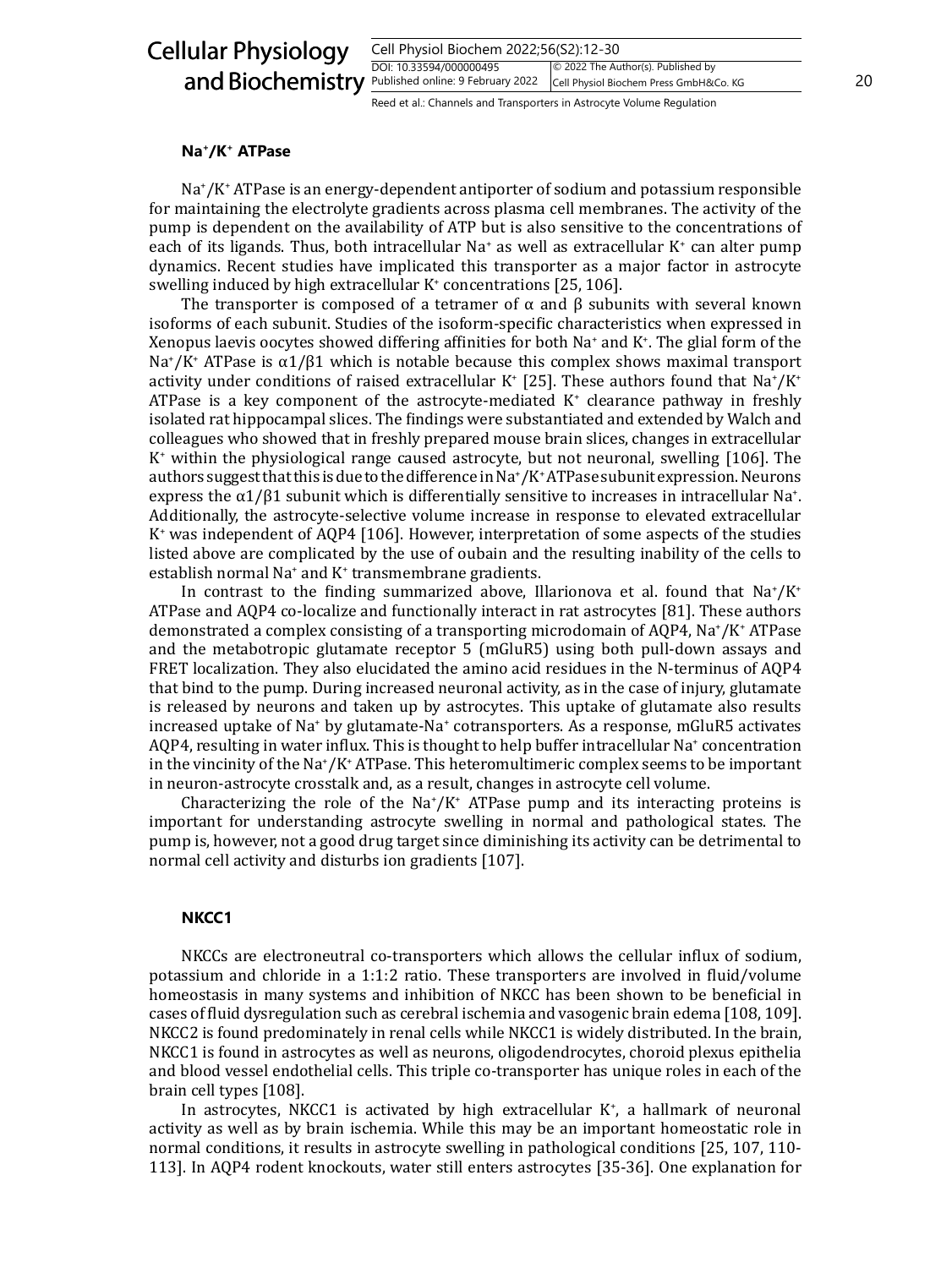| <b>Cellular Physiology</b><br>Cell Physiol Biochem 2022;56(S2):12-30 |                                                                       |                                                                              |    |
|----------------------------------------------------------------------|-----------------------------------------------------------------------|------------------------------------------------------------------------------|----|
| and Biochemistry Published online: 9 February 2022                   | DOI: 10.33594/000000495                                               | © 2022 The Author(s). Published by<br>Cell Physiol Biochem Press GmbH&Co. KG | 20 |
|                                                                      | Reed et al.: Channels and Transporters in Astrocyte Volume Regulation |                                                                              |    |

#### **Na+/K+ ATPase**

Na<sup>+</sup> /K+ ATPase is an energy-dependent antiporter of sodium and potassium responsible for maintaining the electrolyte gradients across plasma cell membranes. The activity of the pump is dependent on the availability of ATP but is also sensitive to the concentrations of each of its ligands. Thus, both intracellular Na<sup>+</sup> as well as extracellular K<sup>+</sup> can alter pump dynamics. Recent studies have implicated this transporter as a major factor in astrocyte swelling induced by high extracellular K<sup>+</sup> concentrations [25, 106].

The transporter is composed of a tetramer of  $\alpha$  and  $\beta$  subunits with several known isoforms of each subunit. Studies of the isoform-specific characteristics when expressed in Xenopus laevis oocytes showed differing affinities for both Na<sup>+</sup> and K<sup>+</sup> . The glial form of the Na<sup>+</sup> /K+ ATPase is α1/β1 which is notable because this complex shows maximal transport activity under conditions of raised extracellular K<sup>+</sup> [25]. These authors found that Na<sup>+</sup>/K<sup>+</sup> ATPase is a key component of the astrocyte-mediated  $K^*$  clearance pathway in freshly isolated rat hippocampal slices. The findings were substantiated and extended by Walch and colleagues who showed that in freshly prepared mouse brain slices, changes in extracellular K+ within the physiological range caused astrocyte, but not neuronal, swelling [106]. The authors suggest that this is due to the difference in Na<sup>+</sup> /K+ ATPase subunit expression. Neurons express the  $α1/β1$  subunit which is differentially sensitive to increases in intracellular Na<sup>+</sup>. Additionally, the astrocyte-selective volume increase in response to elevated extracellular K+ was independent of AQP4 [106]. However, interpretation of some aspects of the studies listed above are complicated by the use of oubain and the resulting inability of the cells to establish normal Na<sup>+</sup> and K<sup>+</sup> transmembrane gradients.

In contrast to the finding summarized above, Illarionova et al. found that  $\text{Na}^{\text{*}}/\text{K}^{\text{*}}$ ATPase and AQP4 co-localize and functionally interact in rat astrocytes [81]. These authors demonstrated a complex consisting of a transporting microdomain of AQP4, Na\*/K\* ATPase and the metabotropic glutamate receptor 5 (mGluR5) using both pull-down assays and FRET localization. They also elucidated the amino acid residues in the N-terminus of AQP4 that bind to the pump. During increased neuronal activity, as in the case of injury, glutamate is released by neurons and taken up by astrocytes. This uptake of glutamate also results increased uptake of Na<sup>+</sup> by glutamate-Na<sup>+</sup> cotransporters. As a response, mGluR5 activates AQP4, resulting in water influx. This is thought to help buffer intracellular Na<sup>+</sup> concentration in the vincinity of the Na<sup>+</sup> /K+ ATPase. This heteromultimeric complex seems to be important in neuron-astrocyte crosstalk and, as a result, changes in astrocyte cell volume.

Characterizing the role of the  $\text{Na}^{\dagger}/\text{K}^{\dagger}$  ATPase pump and its interacting proteins is important for understanding astrocyte swelling in normal and pathological states. The pump is, however, not a good drug target since diminishing its activity can be detrimental to normal cell activity and disturbs ion gradients [107].

#### **NKCC1**

NKCCs are electroneutral co-transporters which allows the cellular influx of sodium, potassium and chloride in a 1:1:2 ratio. These transporters are involved in fluid/volume homeostasis in many systems and inhibition of NKCC has been shown to be beneficial in cases of fluid dysregulation such as cerebral ischemia and vasogenic brain edema [108, 109]. NKCC2 is found predominately in renal cells while NKCC1 is widely distributed. In the brain, NKCC1 is found in astrocytes as well as neurons, oligodendrocytes, choroid plexus epithelia and blood vessel endothelial cells. This triple co-transporter has unique roles in each of the brain cell types [108].

In astrocytes, NKCC1 is activated by high extracellular K<sup>+</sup>, a hallmark of neuronal activity as well as by brain ischemia. While this may be an important homeostatic role in normal conditions, it results in astrocyte swelling in pathological conditions [25, 107, 110- 113]. In AQP4 rodent knockouts, water still enters astrocytes [35-36]. One explanation for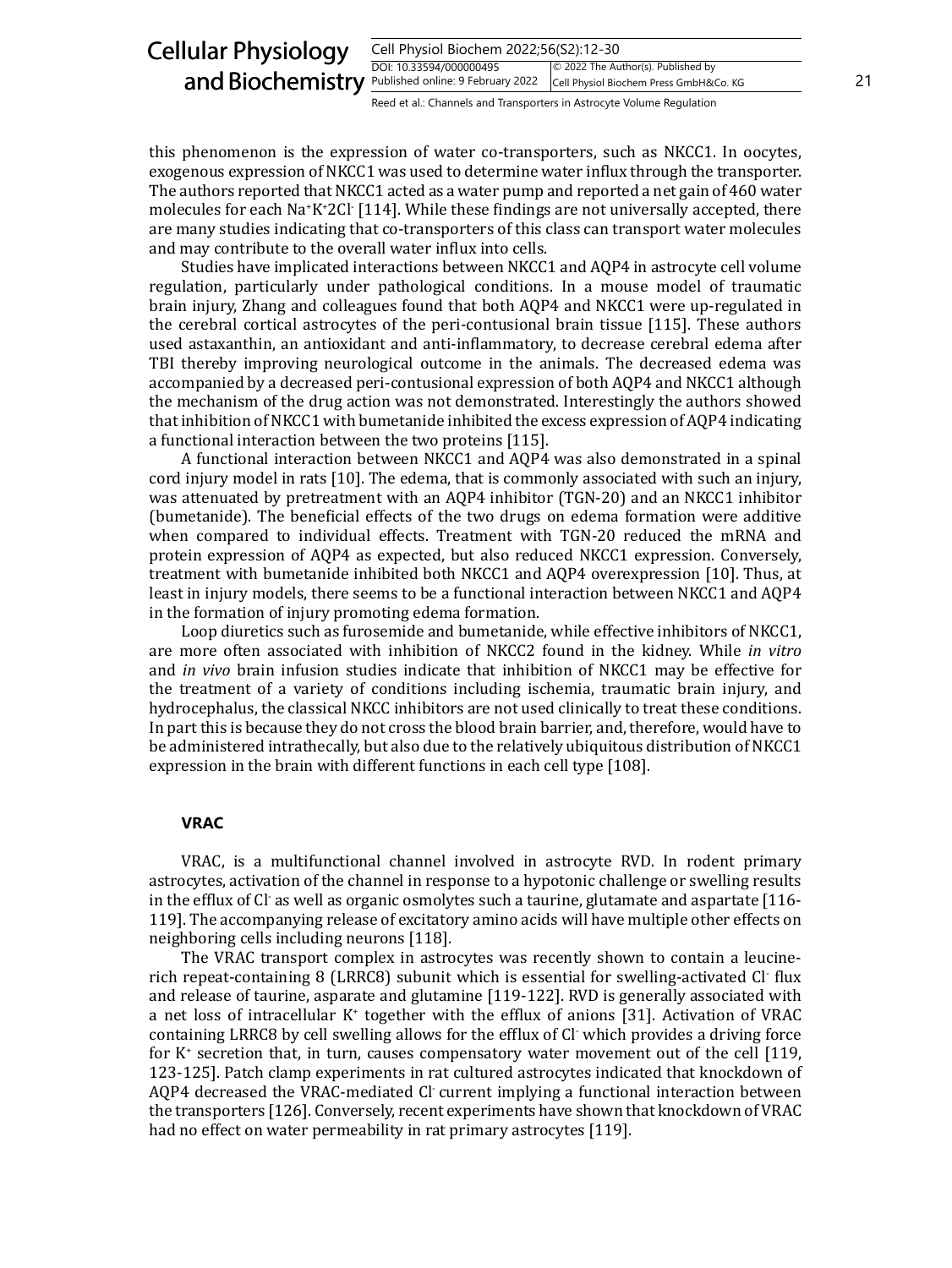| <b>Cellular Physiology</b><br>Cell Physiol Biochem 2022;56(S2):12-30 |                                                                       |                                                                              |    |
|----------------------------------------------------------------------|-----------------------------------------------------------------------|------------------------------------------------------------------------------|----|
| and Biochemistry Published online: 9 February 2022                   | DOI: 10.33594/000000495                                               | © 2022 The Author(s). Published by<br>Cell Physiol Biochem Press GmbH&Co. KG | 21 |
|                                                                      | Reed et al.: Channels and Transporters in Astrocyte Volume Regulation |                                                                              |    |

this phenomenon is the expression of water co-transporters, such as NKCC1. In oocytes, exogenous expression of NKCC1 was used to determine water influx through the transporter. The authors reported that NKCC1 acted as a water pump and reported a net gain of 460 water molecules for each Na<sup>+</sup> K+ 2Cl- [114]. While these findings are not universally accepted, there are many studies indicating that co-transporters of this class can transport water molecules and may contribute to the overall water influx into cells.

Studies have implicated interactions between NKCC1 and AQP4 in astrocyte cell volume regulation, particularly under pathological conditions. In a mouse model of traumatic brain injury, Zhang and colleagues found that both AQP4 and NKCC1 were up-regulated in the cerebral cortical astrocytes of the peri-contusional brain tissue [115]. These authors used astaxanthin, an antioxidant and anti-inflammatory, to decrease cerebral edema after TBI thereby improving neurological outcome in the animals. The decreased edema was accompanied by a decreased peri-contusional expression of both AQP4 and NKCC1 although the mechanism of the drug action was not demonstrated. Interestingly the authors showed that inhibition of NKCC1 with bumetanide inhibited the excess expression of AQP4 indicating a functional interaction between the two proteins [115].

A functional interaction between NKCC1 and AQP4 was also demonstrated in a spinal cord injury model in rats [10]. The edema, that is commonly associated with such an injury, was attenuated by pretreatment with an AQP4 inhibitor (TGN-20) and an NKCC1 inhibitor (bumetanide). The beneficial effects of the two drugs on edema formation were additive when compared to individual effects. Treatment with TGN-20 reduced the mRNA and protein expression of AQP4 as expected, but also reduced NKCC1 expression. Conversely, treatment with bumetanide inhibited both NKCC1 and AQP4 overexpression [10]. Thus, at least in injury models, there seems to be a functional interaction between NKCC1 and AQP4 in the formation of injury promoting edema formation.

Loop diuretics such as furosemide and bumetanide, while effective inhibitors of NKCC1, are more often associated with inhibition of NKCC2 found in the kidney. While *in vitro* and *in vivo* brain infusion studies indicate that inhibition of NKCC1 may be effective for the treatment of a variety of conditions including ischemia, traumatic brain injury, and hydrocephalus, the classical NKCC inhibitors are not used clinically to treat these conditions. In part this is because they do not cross the blood brain barrier, and, therefore, would have to be administered intrathecally, but also due to the relatively ubiquitous distribution of NKCC1 expression in the brain with different functions in each cell type [108].

## **VRAC**

VRAC, is a multifunctional channel involved in astrocyte RVD. In rodent primary astrocytes, activation of the channel in response to a hypotonic challenge or swelling results in the efflux of Cl<sup>-</sup> as well as organic osmolytes such a taurine, glutamate and aspartate  $\left[116\cdot$ 119]. The accompanying release of excitatory amino acids will have multiple other effects on neighboring cells including neurons [118].

The VRAC transport complex in astrocytes was recently shown to contain a leucinerich repeat-containing 8 (LRRC8) subunit which is essential for swelling-activated Cl- flux and release of taurine, asparate and glutamine [119-122]. RVD is generally associated with a net loss of intracellular K<sup>+</sup> together with the efflux of anions [31]. Activation of VRAC containing LRRC8 by cell swelling allows for the efflux of Cl- which provides a driving force for K<sup>+</sup> secretion that, in turn, causes compensatory water movement out of the cell [119, 123-125]. Patch clamp experiments in rat cultured astrocytes indicated that knockdown of AQP4 decreased the VRAC-mediated Cl- current implying a functional interaction between the transporters [126]. Conversely, recent experiments have shown that knockdown of VRAC had no effect on water permeability in rat primary astrocytes [119].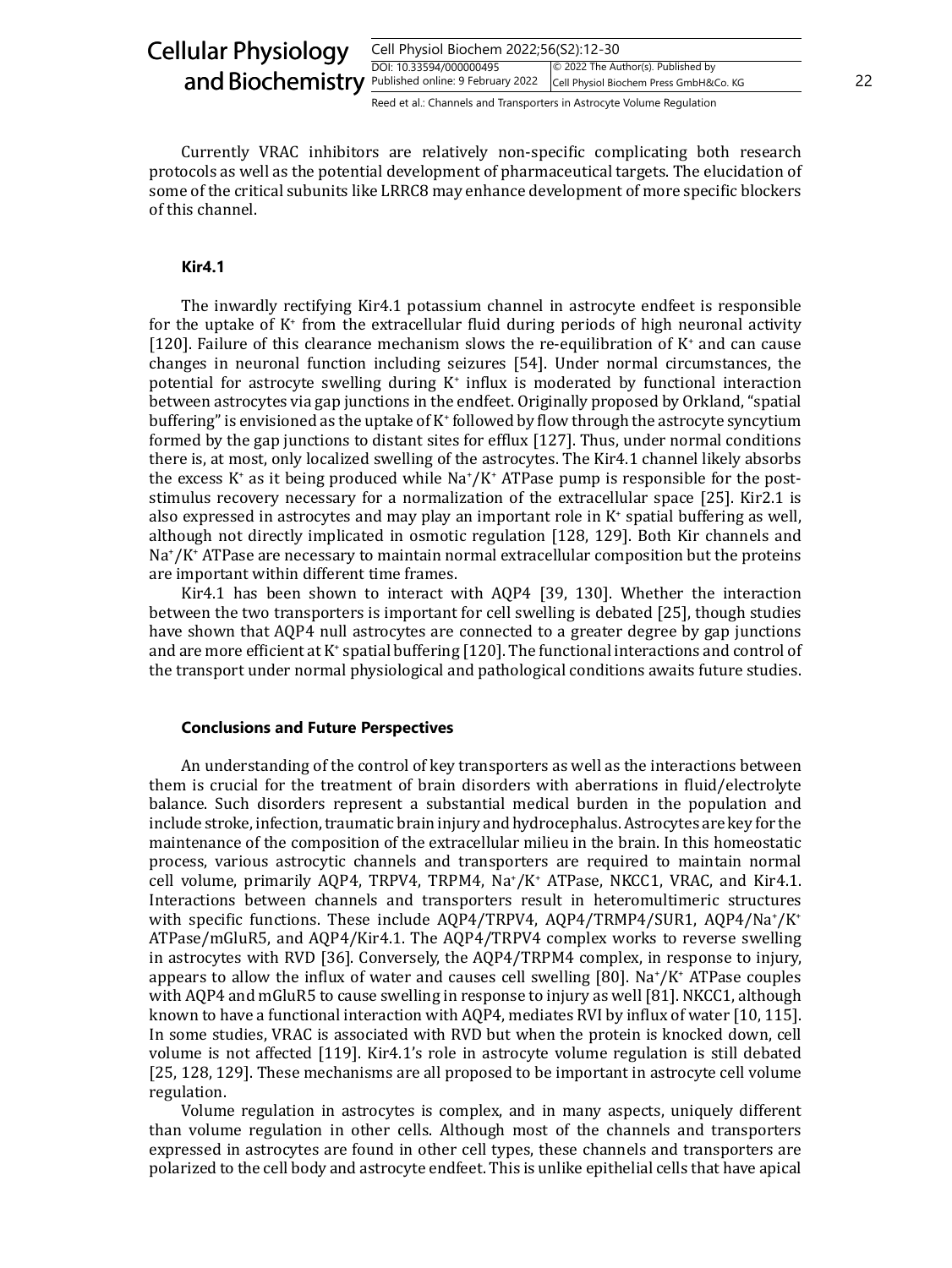| <b>Cellular Physiology</b>                         | Cell Physiol Biochem 2022;56(S2):12-30                                |                                                                              |    |
|----------------------------------------------------|-----------------------------------------------------------------------|------------------------------------------------------------------------------|----|
| and Biochemistry Published online: 9 February 2022 | DOI: 10.33594/000000495                                               | © 2022 The Author(s). Published by<br>Cell Physiol Biochem Press GmbH&Co. KG | 22 |
|                                                    | Reed et al.: Channels and Transporters in Astrocyte Volume Regulation |                                                                              |    |

Currently VRAC inhibitors are relatively non-specific complicating both research protocols as well as the potential development of pharmaceutical targets. The elucidation of some of the critical subunits like LRRC8 may enhance development of more specific blockers of this channel.

#### **Kir4.1**

The inwardly rectifying Kir4.1 potassium channel in astrocyte endfeet is responsible for the uptake of K<sup>+</sup> from the extracellular fluid during periods of high neuronal activity [120]. Failure of this clearance mechanism slows the re-equilibration of K<sup>+</sup> and can cause changes in neuronal function including seizures [54]. Under normal circumstances, the potential for astrocyte swelling during K<sup>+</sup> influx is moderated by functional interaction between astrocytes via gap junctions in the endfeet. Originally proposed by Orkland, "spatial buffering" is envisioned as the uptake of K<sup>+</sup> followed by flow through the astrocyte syncytium formed by the gap junctions to distant sites for efflux [127]. Thus, under normal conditions there is, at most, only localized swelling of the astrocytes. The Kir4.1 channel likely absorbs the excess K<sup>+</sup> as it being produced while Na<sup>+</sup>/K<sup>+</sup> ATPase pump is responsible for the poststimulus recovery necessary for a normalization of the extracellular space [25]. Kir2.1 is also expressed in astrocytes and may play an important role in K<sup>+</sup> spatial buffering as well, although not directly implicated in osmotic regulation [128, 129]. Both Kir channels and Na<sup>+</sup> /K+ ATPase are necessary to maintain normal extracellular composition but the proteins are important within different time frames.

Kir4.1 has been shown to interact with AQP4 [39, 130]. Whether the interaction between the two transporters is important for cell swelling is debated [25], though studies have shown that AQP4 null astrocytes are connected to a greater degree by gap junctions and are more efficient at K<sup>+</sup> spatial buffering [120]. The functional interactions and control of the transport under normal physiological and pathological conditions awaits future studies.

#### **Conclusions and Future Perspectives**

An understanding of the control of key transporters as well as the interactions between them is crucial for the treatment of brain disorders with aberrations in fluid/electrolyte balance. Such disorders represent a substantial medical burden in the population and include stroke, infection, traumatic brain injury and hydrocephalus. Astrocytes are key for the maintenance of the composition of the extracellular milieu in the brain. In this homeostatic process, various astrocytic channels and transporters are required to maintain normal cell volume, primarily AQP4, TRPV4, TRPM4, Na<sup>+</sup> /K+ ATPase, NKCC1, VRAC, and Kir4.1. Interactions between channels and transporters result in heteromultimeric structures with specific functions. These include AQP4/TRPV4, AQP4/TRMP4/SUR1, AQP4/Na<sup>+</sup>/K<sup>+</sup> ATPase/mGluR5, and AQP4/Kir4.1. The AQP4/TRPV4 complex works to reverse swelling in astrocytes with RVD [36]. Conversely, the AQP4/TRPM4 complex, in response to injury, appears to allow the influx of water and causes cell swelling [80]. Na<sup>+</sup> /K+ ATPase couples with AQP4 and mGluR5 to cause swelling in response to injury as well [81]. NKCC1, although known to have a functional interaction with AQP4, mediates RVI by influx of water [10, 115]. In some studies, VRAC is associated with RVD but when the protein is knocked down, cell volume is not affected [119]. Kir4.1's role in astrocyte volume regulation is still debated [25, 128, 129]. These mechanisms are all proposed to be important in astrocyte cell volume regulation.

Volume regulation in astrocytes is complex, and in many aspects, uniquely different than volume regulation in other cells. Although most of the channels and transporters expressed in astrocytes are found in other cell types, these channels and transporters are polarized to the cell body and astrocyte endfeet. This is unlike epithelial cells that have apical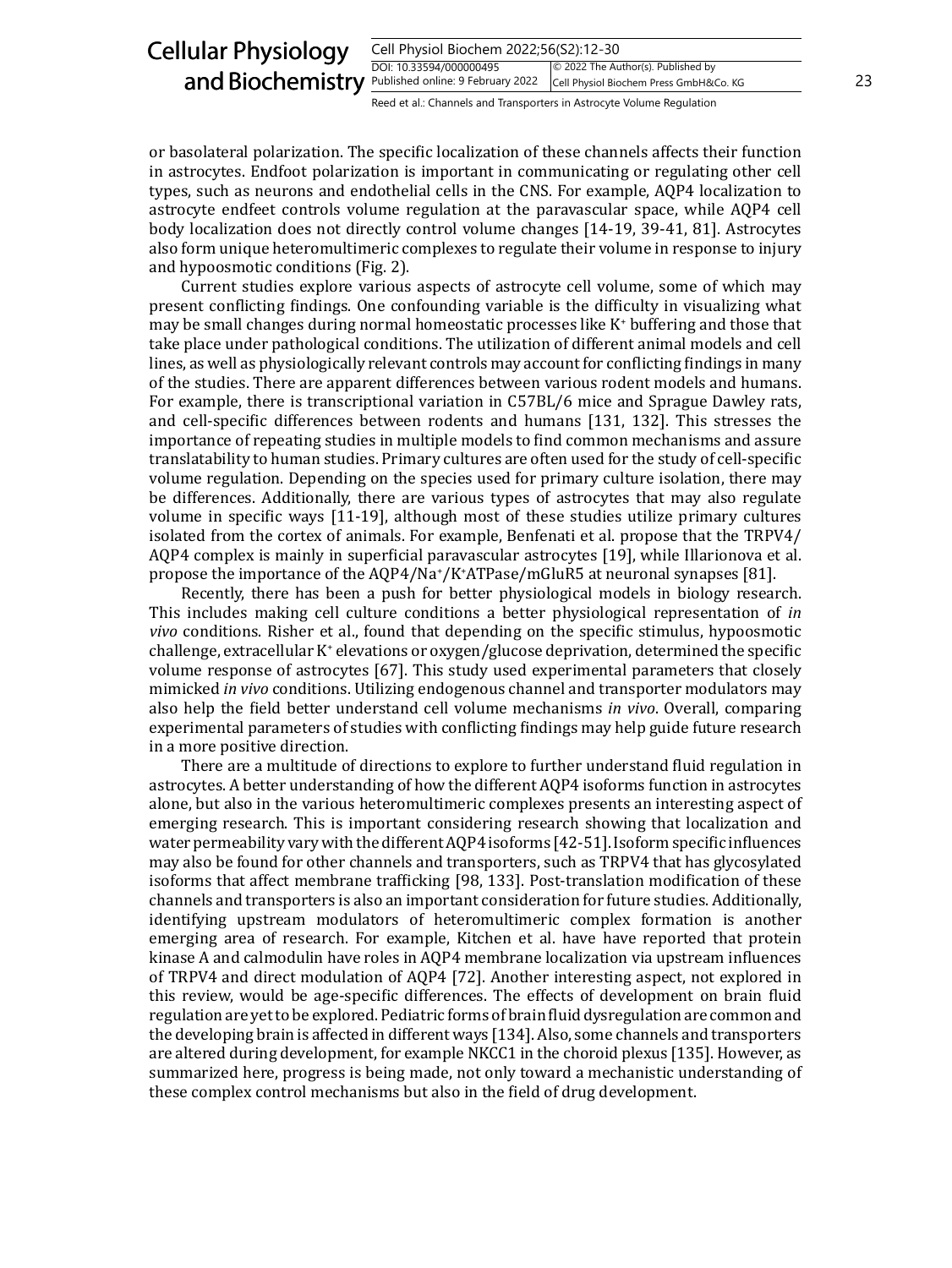| <b>Cellular Physiology</b><br>Cell Physiol Biochem 2022;56(S2):12-30 |                                                                       |                                                                              |    |
|----------------------------------------------------------------------|-----------------------------------------------------------------------|------------------------------------------------------------------------------|----|
| and Biochemistry Published online: 9 February 2022                   | DOI: 10.33594/000000495                                               | © 2022 The Author(s). Published by<br>Cell Physiol Biochem Press GmbH&Co. KG | 23 |
|                                                                      | Reed et al.: Channels and Transporters in Astrocyte Volume Regulation |                                                                              |    |

or basolateral polarization. The specific localization of these channels affects their function in astrocytes. Endfoot polarization is important in communicating or regulating other cell types, such as neurons and endothelial cells in the CNS. For example, AQP4 localization to astrocyte endfeet controls volume regulation at the paravascular space, while AQP4 cell body localization does not directly control volume changes [14-19, 39-41, 81]. Astrocytes also form unique heteromultimeric complexes to regulate their volume in response to injury and hypoosmotic conditions (Fig. 2).

Current studies explore various aspects of astrocyte cell volume, some of which may present conflicting findings. One confounding variable is the difficulty in visualizing what may be small changes during normal homeostatic processes like K<sup>+</sup> buffering and those that take place under pathological conditions. The utilization of different animal models and cell lines, as well as physiologically relevant controls may account for conflicting findings in many of the studies. There are apparent differences between various rodent models and humans. For example, there is transcriptional variation in C57BL/6 mice and Sprague Dawley rats, and cell-specific differences between rodents and humans [131, 132]. This stresses the importance of repeating studies in multiple models to find common mechanisms and assure translatability to human studies. Primary cultures are often used for the study of cell-specific volume regulation. Depending on the species used for primary culture isolation, there may be differences. Additionally, there are various types of astrocytes that may also regulate volume in specific ways [11-19], although most of these studies utilize primary cultures isolated from the cortex of animals. For example, Benfenati et al. propose that the TRPV4/ AQP4 complex is mainly in superficial paravascular astrocytes [19], while Illarionova et al. propose the importance of the AQP4/Na<sup>+</sup> /K+ ATPase/mGluR5 at neuronal synapses [81].

Recently, there has been a push for better physiological models in biology research. This includes making cell culture conditions a better physiological representation of *in vivo* conditions. Risher et al., found that depending on the specific stimulus, hypoosmotic challenge, extracellular K<sup>+</sup> elevations or oxygen/glucose deprivation, determined the specific volume response of astrocytes [67]. This study used experimental parameters that closely mimicked *in vivo* conditions. Utilizing endogenous channel and transporter modulators may also help the field better understand cell volume mechanisms *in vivo*. Overall, comparing experimental parameters of studies with conflicting findings may help guide future research in a more positive direction.

There are a multitude of directions to explore to further understand fluid regulation in astrocytes. A better understanding of how the different AQP4 isoforms function in astrocytes alone, but also in the various heteromultimeric complexes presents an interesting aspect of emerging research. This is important considering research showing that localization and water permeability vary with the different AQP4 isoforms [42-51]. Isoform specific influences may also be found for other channels and transporters, such as TRPV4 that has glycosylated isoforms that affect membrane trafficking [98, 133]. Post-translation modification of these channels and transporters is also an important consideration for future studies. Additionally, identifying upstream modulators of heteromultimeric complex formation is another emerging area of research. For example, Kitchen et al. have have reported that protein kinase A and calmodulin have roles in AQP4 membrane localization via upstream influences of TRPV4 and direct modulation of AQP4 [72]. Another interesting aspect, not explored in this review, would be age-specific differences. The effects of development on brain fluid regulation are yet to be explored. Pediatric forms of brain fluid dysregulation are common and the developing brain is affected in different ways [134]. Also, some channels and transporters are altered during development, for example NKCC1 in the choroid plexus [135]. However, as summarized here, progress is being made, not only toward a mechanistic understanding of these complex control mechanisms but also in the field of drug development.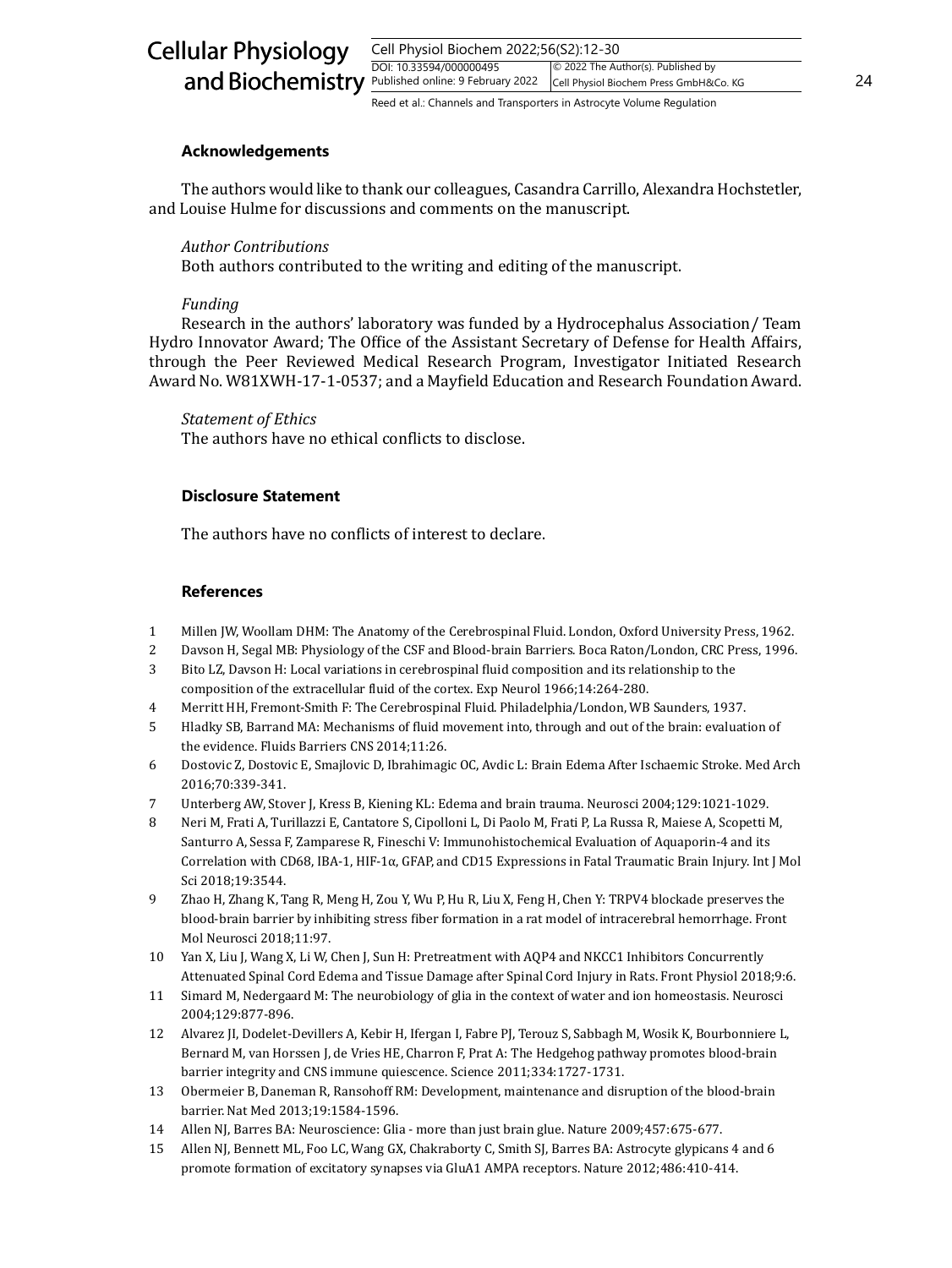| <b>Cellular Physiology</b>                         | Cell Physiol Biochem 2022;56(S2):12-30                                |                                                                              |    |
|----------------------------------------------------|-----------------------------------------------------------------------|------------------------------------------------------------------------------|----|
| and Biochemistry Published online: 9 February 2022 | DOI: 10.33594/000000495                                               | © 2022 The Author(s). Published by<br>Cell Physiol Biochem Press GmbH&Co. KG | 24 |
|                                                    | Reed et al.: Channels and Transporters in Astrocyte Volume Regulation |                                                                              |    |

#### **Acknowledgements**

The authors would like to thank our colleagues, Casandra Carrillo, Alexandra Hochstetler, and Louise Hulme for discussions and comments on the manuscript.

#### *Author Contributions*

Both authors contributed to the writing and editing of the manuscript.

#### *Funding*

Research in the authors' laboratory was funded by a Hydrocephalus Association/ Team Hydro Innovator Award; The Office of the Assistant Secretary of Defense for Health Affairs, through the Peer Reviewed Medical Research Program, Investigator Initiated Research Award No. W81XWH-17-1-0537; and a Mayfield Education and Research Foundation Award.

#### *Statement of Ethics*

The authors have no ethical conflicts to disclose.

## **Disclosure Statement**

The authors have no conflicts of interest to declare.

## **References**

- 1 Millen JW, Woollam DHM: The Anatomy of the Cerebrospinal Fluid. London, Oxford University Press, 1962.
- 2 Davson H, Segal MB: Physiology of the CSF and Blood-brain Barriers. Boca Raton/London, CRC Press, 1996.
- 3 Bito LZ, Davson H: Local variations in cerebrospinal fluid composition and its relationship to the composition of the extracellular fluid of the cortex. Exp Neurol 1966;14:264-280.
- 4 Merritt HH, Fremont-Smith F: The Cerebrospinal Fluid. Philadelphia/London, WB Saunders, 1937.
- 5 Hladky SB, Barrand MA: Mechanisms of fluid movement into, through and out of the brain: evaluation of the evidence. Fluids Barriers CNS 2014;11:26.
- 6 Dostovic Z, Dostovic E, Smajlovic D, Ibrahimagic OC, Avdic L: Brain Edema After Ischaemic Stroke. Med Arch 2016;70:339-341.
- 7 Unterberg AW, Stover J, Kress B, Kiening KL: Edema and brain trauma. Neurosci 2004;129:1021-1029.
- 8 Neri M, Frati A, Turillazzi E, Cantatore S, Cipolloni L, Di Paolo M, Frati P, La Russa R, Maiese A, Scopetti M, Santurro A, Sessa F, Zamparese R, Fineschi V: Immunohistochemical Evaluation of Aquaporin-4 and its Correlation with CD68, IBA-1, HIF-1α, GFAP, and CD15 Expressions in Fatal Traumatic Brain Injury. Int J Mol Sci 2018;19:3544.
- 9 Zhao H, Zhang K, Tang R, Meng H, Zou Y, Wu P, Hu R, Liu X, Feng H, Chen Y: TRPV4 blockade preserves the blood-brain barrier by inhibiting stress fiber formation in a rat model of intracerebral hemorrhage. Front Mol Neurosci 2018;11:97.
- 10 Yan X, Liu J, Wang X, Li W, Chen J, Sun H: Pretreatment with AQP4 and NKCC1 Inhibitors Concurrently Attenuated Spinal Cord Edema and Tissue Damage after Spinal Cord Injury in Rats. Front Physiol 2018;9:6.
- 11 Simard M, Nedergaard M: The neurobiology of glia in the context of water and ion homeostasis. Neurosci 2004;129:877-896.
- 12 Alvarez JI, Dodelet-Devillers A, Kebir H, Ifergan I, Fabre PJ, Terouz S, Sabbagh M, Wosik K, Bourbonniere L, Bernard M, van Horssen J, de Vries HE, Charron F, Prat A: The Hedgehog pathway promotes blood-brain barrier integrity and CNS immune quiescence. Science 2011;334:1727-1731.
- 13 Obermeier B, Daneman R, Ransohoff RM: Development, maintenance and disruption of the blood-brain barrier. Nat Med 2013;19:1584-1596.
- 14 Allen NJ, Barres BA: Neuroscience: Glia more than just brain glue. Nature 2009;457:675-677.
- 15 Allen NJ, Bennett ML, Foo LC, Wang GX, Chakraborty C, Smith SJ, Barres BA: Astrocyte glypicans 4 and 6 promote formation of excitatory synapses via GluA1 AMPA receptors. Nature 2012;486:410-414.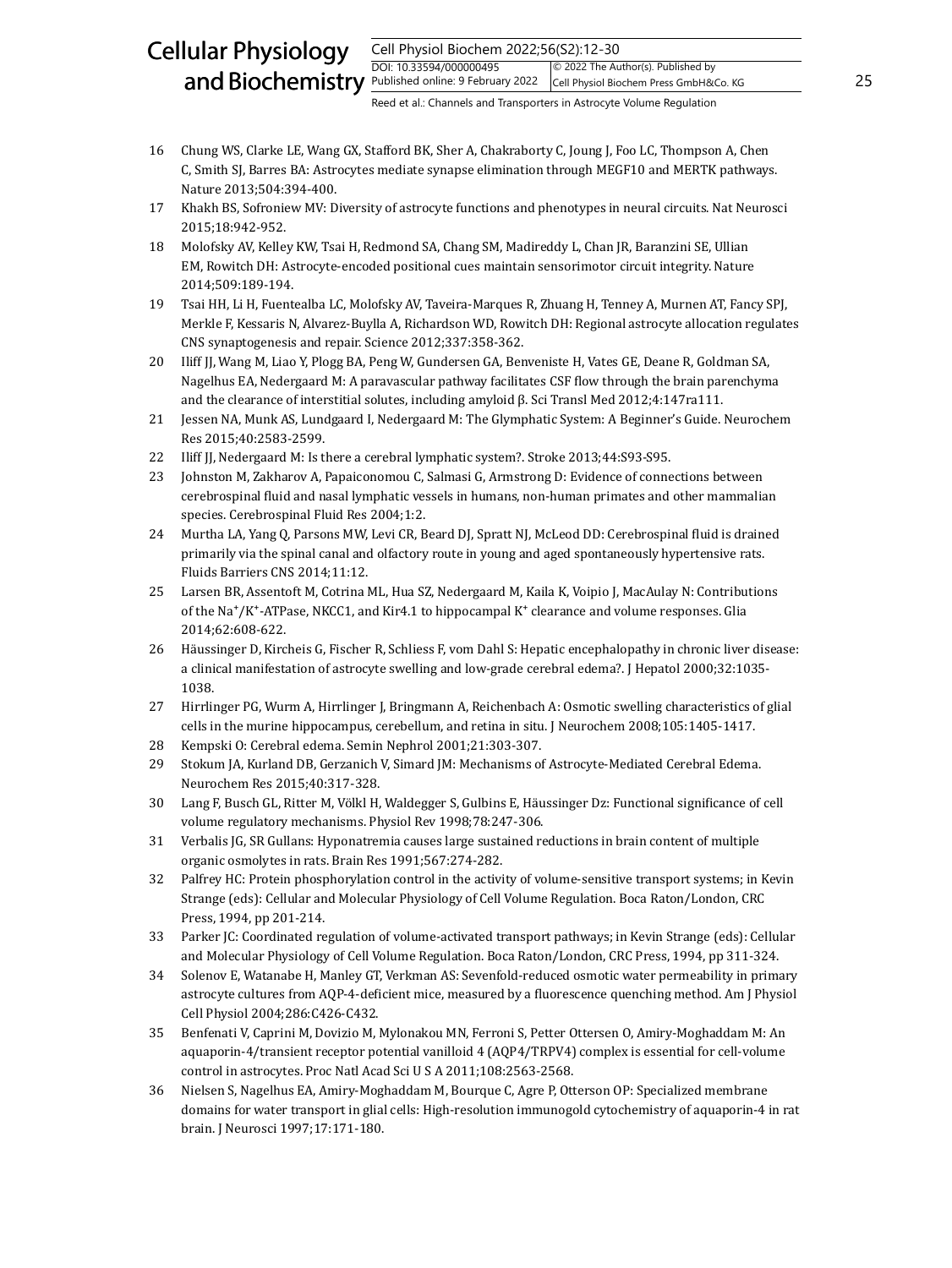#### Cell Physiol Biochem 2022;56(S2):12-30 DOI: 10.33594/000000495 and Biochemistry  $\frac{Published online: 9 February 2022}{Published Online: 9 February 2022}$  Cell Physiol Biochem Press GmbH&Co. KG 25 Cellular Physiology © 2022 The Author(s). Published by Cell Physiol Biochem Press GmbH&Co. KG

- 16 Chung WS, Clarke LE, Wang GX, Stafford BK, Sher A, Chakraborty C, Joung J, Foo LC, Thompson A, Chen C, Smith SJ, Barres BA: Astrocytes mediate synapse elimination through MEGF10 and MERTK pathways. Nature 2013;504:394-400.
- 17 Khakh BS, Sofroniew MV: Diversity of astrocyte functions and phenotypes in neural circuits. Nat Neurosci 2015;18:942-952.
- 18 Molofsky AV, Kelley KW, Tsai H, Redmond SA, Chang SM, Madireddy L, Chan JR, Baranzini SE, Ullian EM, Rowitch DH: Astrocyte-encoded positional cues maintain sensorimotor circuit integrity. Nature 2014;509:189-194.
- 19 Tsai HH, Li H, Fuentealba LC, Molofsky AV, Taveira-Marques R, Zhuang H, Tenney A, Murnen AT, Fancy SPJ, Merkle F, Kessaris N, Alvarez-Buylla A, Richardson WD, Rowitch DH: Regional astrocyte allocation regulates CNS synaptogenesis and repair. Science 2012;337:358-362.
- 20 Iliff JJ, Wang M, Liao Y, Plogg BA, Peng W, Gundersen GA, Benveniste H, Vates GE, Deane R, Goldman SA, Nagelhus EA, Nedergaard M: A paravascular pathway facilitates CSF flow through the brain parenchyma and the clearance of interstitial solutes, including amyloid β. Sci Transl Med 2012;4:147ra111.
- 21 Jessen NA, Munk AS, Lundgaard I, Nedergaard M: The Glymphatic System: A Beginner's Guide. Neurochem Res 2015;40:2583-2599.
- 22 Iliff JJ, Nedergaard M: Is there a cerebral lymphatic system?. Stroke 2013;44:S93-S95.
- 23 Johnston M, Zakharov A, Papaiconomou C, Salmasi G, Armstrong D: Evidence of connections between cerebrospinal fluid and nasal lymphatic vessels in humans, non-human primates and other mammalian species. Cerebrospinal Fluid Res 2004;1:2.
- 24 Murtha LA, Yang Q, Parsons MW, Levi CR, Beard DJ, Spratt NJ, McLeod DD: Cerebrospinal fluid is drained primarily via the spinal canal and olfactory route in young and aged spontaneously hypertensive rats. Fluids Barriers CNS 2014;11:12.
- 25 Larsen BR, Assentoft M, Cotrina ML, Hua SZ, Nedergaard M, Kaila K, Voipio J, MacAulay N: Contributions of the Na<sup>+</sup>/K<sup>+</sup>-ATPase, NKCC1, and Kir4.1 to hippocampal K<sup>+</sup> clearance and volume responses. Glia 2014;62:608-622.
- 26 Häussinger D, Kircheis G, Fischer R, Schliess F, vom Dahl S: Hepatic encephalopathy in chronic liver disease: a clinical manifestation of astrocyte swelling and low-grade cerebral edema?. J Hepatol 2000;32:1035- 1038.
- 27 Hirrlinger PG, Wurm A, Hirrlinger J, Bringmann A, Reichenbach A: Osmotic swelling characteristics of glial cells in the murine hippocampus, cerebellum, and retina in situ. J Neurochem 2008;105:1405-1417.
- 28 Kempski O: Cerebral edema. Semin Nephrol 2001;21:303-307.
- 29 Stokum JA, Kurland DB, Gerzanich V, Simard JM: Mechanisms of Astrocyte-Mediated Cerebral Edema. Neurochem Res 2015;40:317-328.
- 30 Lang F, Busch GL, Ritter M, Völkl H, Waldegger S, Gulbins E, Häussinger Dz: Functional significance of cell volume regulatory mechanisms. Physiol Rev 1998;78:247-306.
- 31 Verbalis JG, SR Gullans: Hyponatremia causes large sustained reductions in brain content of multiple organic osmolytes in rats. Brain Res 1991;567:274-282.
- 32 Palfrey HC: Protein phosphorylation control in the activity of volume-sensitive transport systems; in Kevin Strange (eds): Cellular and Molecular Physiology of Cell Volume Regulation. Boca Raton/London, CRC Press, 1994, pp 201-214.
- 33 Parker JC: Coordinated regulation of volume-activated transport pathways; in Kevin Strange (eds): Cellular and Molecular Physiology of Cell Volume Regulation. Boca Raton/London, CRC Press, 1994, pp 311-324.
- 34 Solenov E, Watanabe H, Manley GT, Verkman AS: Sevenfold-reduced osmotic water permeability in primary astrocyte cultures from AQP-4-deficient mice, measured by a fluorescence quenching method. Am J Physiol Cell Physiol 2004;286:C426-C432.
- 35 Benfenati V, Caprini M, Dovizio M, Mylonakou MN, Ferroni S, Petter Ottersen O, Amiry-Moghaddam M: An aquaporin-4/transient receptor potential vanilloid 4 (AQP4/TRPV4) complex is essential for cell-volume control in astrocytes. Proc Natl Acad Sci U S A 2011;108:2563-2568.
- 36 Nielsen S, Nagelhus EA, Amiry-Moghaddam M, Bourque C, Agre P, Otterson OP: Specialized membrane domains for water transport in glial cells: High-resolution immunogold cytochemistry of aquaporin-4 in rat brain. J Neurosci 1997;17:171-180.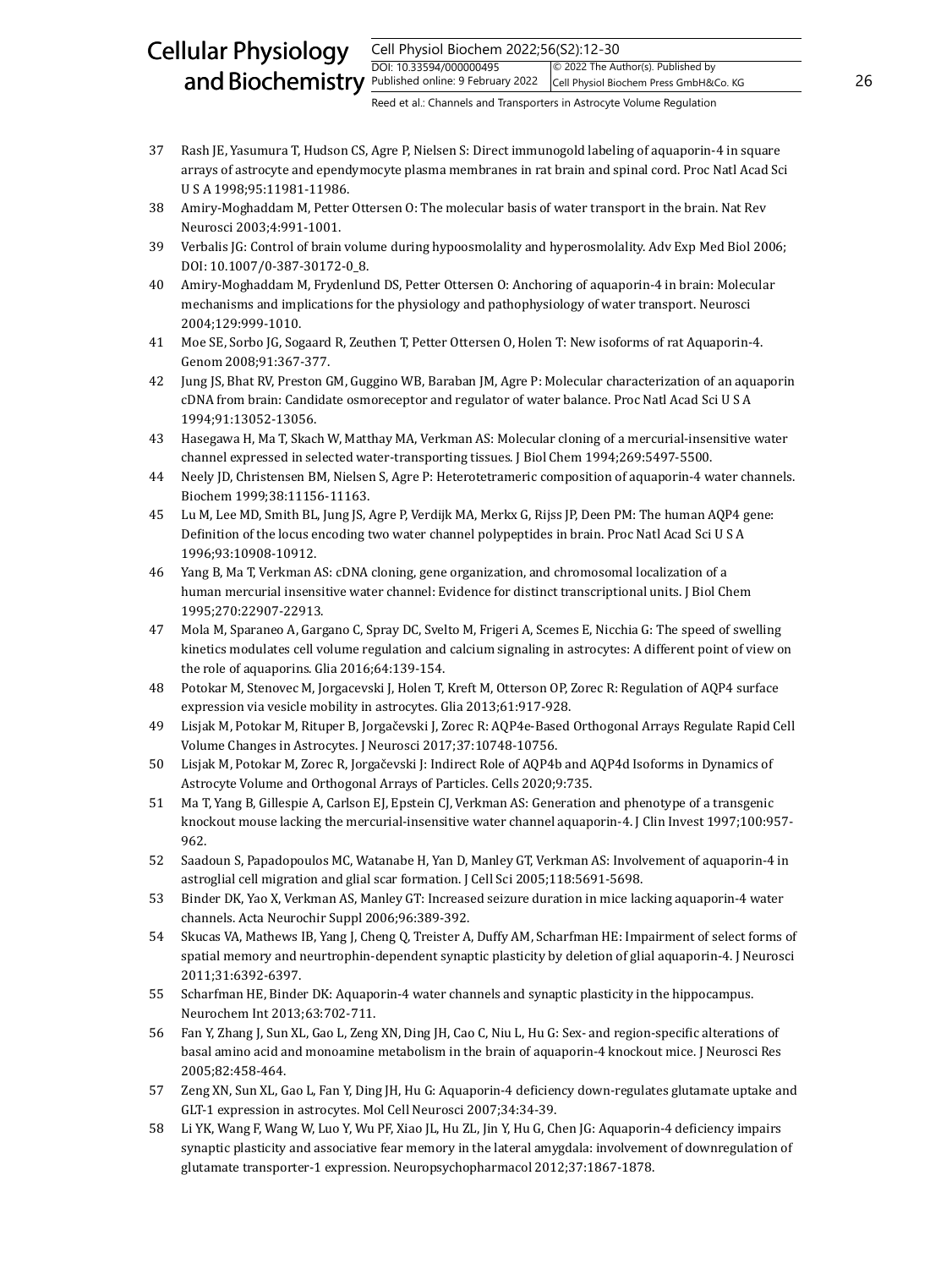#### Cell Physiol Biochem 2022;56(S2):12-30 DOI: 10.33594/000000495 and Biochemistry  $\frac{Published online: 9 February 2022}{Published Online: 9 February 2022}$  Cell Physiol Biochem Press GmbH&Co. KG 26 Cellular Physiology © 2022 The Author(s). Published by Cell Physiol Biochem Press GmbH&Co. KG

- 37 Rash JE, Yasumura T, Hudson CS, Agre P, Nielsen S: Direct immunogold labeling of aquaporin-4 in square arrays of astrocyte and ependymocyte plasma membranes in rat brain and spinal cord. Proc Natl Acad Sci U S A 1998;95:11981-11986.
- 38 Amiry-Moghaddam M, Petter Ottersen O: The molecular basis of water transport in the brain. Nat Rev Neurosci 2003;4:991-1001.
- 39 Verbalis JG: Control of brain volume during hypoosmolality and hyperosmolality. Adv Exp Med Biol 2006; DOI: 10.1007/0-387-30172-0\_8.
- 40 Amiry-Moghaddam M, Frydenlund DS, Petter Ottersen O: Anchoring of aquaporin-4 in brain: Molecular mechanisms and implications for the physiology and pathophysiology of water transport. Neurosci 2004;129:999-1010.
- 41 Moe SE, Sorbo JG, Sogaard R, Zeuthen T, Petter Ottersen O, Holen T: New isoforms of rat Aquaporin-4. Genom 2008;91:367-377.
- 42 Jung JS, Bhat RV, Preston GM, Guggino WB, Baraban JM, Agre P: Molecular characterization of an aquaporin cDNA from brain: Candidate osmoreceptor and regulator of water balance. Proc Natl Acad Sci U S A 1994;91:13052-13056.
- 43 Hasegawa H, Ma T, Skach W, Matthay MA, Verkman AS: Molecular cloning of a mercurial-insensitive water channel expressed in selected water-transporting tissues. J Biol Chem 1994;269:5497-5500.
- 44 Neely JD, Christensen BM, Nielsen S, Agre P: Heterotetrameric composition of aquaporin-4 water channels. Biochem 1999;38:11156-11163.
- 45 Lu M, Lee MD, Smith BL, Jung JS, Agre P, Verdijk MA, Merkx G, Rijss JP, Deen PM: The human AQP4 gene: Definition of the locus encoding two water channel polypeptides in brain. Proc Natl Acad Sci U S A 1996;93:10908-10912.
- 46 Yang B, Ma T, Verkman AS: cDNA cloning, gene organization, and chromosomal localization of a human mercurial insensitive water channel: Evidence for distinct transcriptional units. J Biol Chem 1995;270:22907-22913.
- 47 Mola M, Sparaneo A, Gargano C, Spray DC, Svelto M, Frigeri A, Scemes E, Nicchia G: The speed of swelling kinetics modulates cell volume regulation and calcium signaling in astrocytes: A different point of view on the role of aquaporins. Glia 2016;64:139-154.
- 48 Potokar M, Stenovec M, Jorgacevski J, Holen T, Kreft M, Otterson OP, Zorec R: Regulation of AQP4 surface expression via vesicle mobility in astrocytes. Glia 2013;61:917-928.
- 49 Lisjak M, Potokar M, Rituper B, Jorgačevski J, Zorec R: AQP4e-Based Orthogonal Arrays Regulate Rapid Cell Volume Changes in Astrocytes. J Neurosci 2017;37:10748-10756.
- 50 Lisjak M, Potokar M, Zorec R, Jorgačevski J: Indirect Role of AQP4b and AQP4d Isoforms in Dynamics of Astrocyte Volume and Orthogonal Arrays of Particles. Cells 2020;9:735.
- 51 Ma T, Yang B, Gillespie A, Carlson EJ, Epstein CJ, Verkman AS: Generation and phenotype of a transgenic knockout mouse lacking the mercurial-insensitive water channel aquaporin-4. J Clin Invest 1997;100:957- 962.
- 52 Saadoun S, Papadopoulos MC, Watanabe H, Yan D, Manley GT, Verkman AS: Involvement of aquaporin-4 in astroglial cell migration and glial scar formation. J Cell Sci 2005;118:5691-5698.
- 53 Binder DK, Yao X, Verkman AS, Manley GT: Increased seizure duration in mice lacking aquaporin-4 water channels. Acta Neurochir Suppl 2006;96:389-392.
- 54 Skucas VA, Mathews IB, Yang J, Cheng Q, Treister A, Duffy AM, Scharfman HE: Impairment of select forms of spatial memory and neurtrophin-dependent synaptic plasticity by deletion of glial aquaporin-4. J Neurosci 2011;31:6392-6397.
- 55 Scharfman HE, Binder DK: Aquaporin-4 water channels and synaptic plasticity in the hippocampus. Neurochem Int 2013;63:702-711.
- 56 Fan Y, Zhang J, Sun XL, Gao L, Zeng XN, Ding JH, Cao C, Niu L, Hu G: Sex- and region-specific alterations of basal amino acid and monoamine metabolism in the brain of aquaporin-4 knockout mice. J Neurosci Res 2005;82:458-464.
- 57 Zeng XN, Sun XL, Gao L, Fan Y, Ding JH, Hu G: Aquaporin-4 deficiency down-regulates glutamate uptake and GLT-1 expression in astrocytes. Mol Cell Neurosci 2007;34:34-39.
- 58 Li YK, Wang F, Wang W, Luo Y, Wu PF, Xiao JL, Hu ZL, Jin Y, Hu G, Chen JG: Aquaporin-4 deficiency impairs synaptic plasticity and associative fear memory in the lateral amygdala: involvement of downregulation of glutamate transporter-1 expression. Neuropsychopharmacol 2012;37:1867-1878.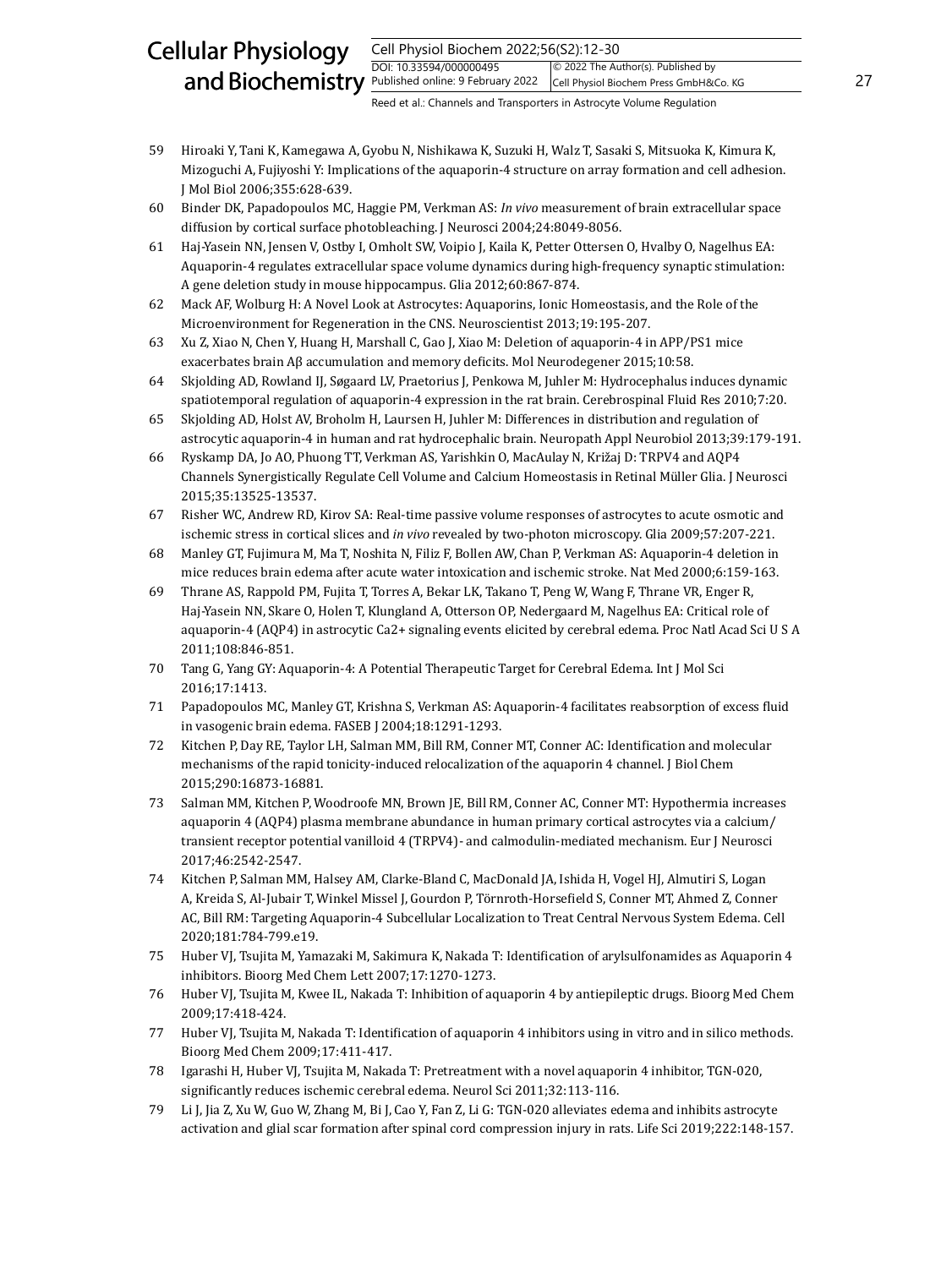#### Cell Physiol Biochem 2022;56(S2):12-30 DOI: 10.33594/000000495 and Biochemistry **Published online: 9 February 2022** Cell Physiol Biochem Press GmbH&Co. KG 27 Cellular Physiology © 2022 The Author(s). Published by Cell Physiol Biochem Press GmbH&Co. KG

- 59 Hiroaki Y, Tani K, Kamegawa A, Gyobu N, Nishikawa K, Suzuki H, Walz T, Sasaki S, Mitsuoka K, Kimura K, Mizoguchi A, Fujiyoshi Y: Implications of the aquaporin-4 structure on array formation and cell adhesion. J Mol Biol 2006;355:628-639.
- 60 Binder DK, Papadopoulos MC, Haggie PM, Verkman AS: *In vivo* measurement of brain extracellular space diffusion by cortical surface photobleaching. J Neurosci 2004;24:8049-8056.
- 61 Haj-Yasein NN, Jensen V, Ostby I, Omholt SW, Voipio J, Kaila K, Petter Ottersen O, Hvalby O, Nagelhus EA: Aquaporin-4 regulates extracellular space volume dynamics during high-frequency synaptic stimulation: A gene deletion study in mouse hippocampus. Glia 2012;60:867-874.
- 62 Mack AF, Wolburg H: A Novel Look at Astrocytes: Aquaporins, Ionic Homeostasis, and the Role of the Microenvironment for Regeneration in the CNS. Neuroscientist 2013;19:195-207.
- 63 Xu Z, Xiao N, Chen Y, Huang H, Marshall C, Gao J, Xiao M: Deletion of aquaporin-4 in APP/PS1 mice exacerbates brain Aβ accumulation and memory deficits. Mol Neurodegener 2015;10:58.
- 64 Skjolding AD, Rowland IJ, Søgaard LV, Praetorius J, Penkowa M, Juhler M: Hydrocephalus induces dynamic spatiotemporal regulation of aquaporin-4 expression in the rat brain. Cerebrospinal Fluid Res 2010;7:20.
- 65 Skjolding AD, Holst AV, Broholm H, Laursen H, Juhler M: Differences in distribution and regulation of astrocytic aquaporin‐4 in human and rat hydrocephalic brain. Neuropath Appl Neurobiol 2013;39:179-191.
- 66 Ryskamp DA, Jo AO, Phuong TT, Verkman AS, Yarishkin O, MacAulay N, Križaj D: TRPV4 and AQP4 Channels Synergistically Regulate Cell Volume and Calcium Homeostasis in Retinal Müller Glia. J Neurosci 2015;35:13525-13537.
- 67 Risher WC, Andrew RD, Kirov SA: Real-time passive volume responses of astrocytes to acute osmotic and ischemic stress in cortical slices and *in vivo* revealed by two-photon microscopy. Glia 2009;57:207-221.
- 68 Manley GT, Fujimura M, Ma T, Noshita N, Filiz F, Bollen AW, Chan P, Verkman AS: Aquaporin-4 deletion in mice reduces brain edema after acute water intoxication and ischemic stroke. Nat Med 2000;6:159-163.
- 69 Thrane AS, Rappold PM, Fujita T, Torres A, Bekar LK, Takano T, Peng W, Wang F, Thrane VR, Enger R, Haj-Yasein NN, Skare O, Holen T, Klungland A, Otterson OP, Nedergaard M, Nagelhus EA: Critical role of aquaporin-4 (AQP4) in astrocytic Ca2+ signaling events elicited by cerebral edema. Proc Natl Acad Sci U S A 2011;108:846-851.
- 70 Tang G, Yang GY: Aquaporin-4: A Potential Therapeutic Target for Cerebral Edema. Int J Mol Sci 2016;17:1413.
- 71 Papadopoulos MC, Manley GT, Krishna S, Verkman AS: Aquaporin-4 facilitates reabsorption of excess fluid in vasogenic brain edema. FASEB J 2004;18:1291-1293.
- 72 Kitchen P, Day RE, Taylor LH, Salman MM, Bill RM, Conner MT, Conner AC: Identification and molecular mechanisms of the rapid tonicity-induced relocalization of the aquaporin 4 channel. J Biol Chem 2015;290:16873-16881.
- 73 Salman MM, Kitchen P, Woodroofe MN, Brown JE, Bill RM, Conner AC, Conner MT: Hypothermia increases aquaporin 4 (AQP4) plasma membrane abundance in human primary cortical astrocytes via a calcium/ transient receptor potential vanilloid 4 (TRPV4)- and calmodulin-mediated mechanism. Eur J Neurosci 2017;46:2542-2547.
- 74 Kitchen P, Salman MM, Halsey AM, Clarke-Bland C, MacDonald JA, Ishida H, Vogel HJ, Almutiri S, Logan A, Kreida S, Al-Jubair T, Winkel Missel J, Gourdon P, Törnroth-Horsefield S, Conner MT, Ahmed Z, Conner AC, Bill RM: Targeting Aquaporin-4 Subcellular Localization to Treat Central Nervous System Edema. Cell 2020;181:784-799.e19.
- 75 Huber VJ, Tsujita M, Yamazaki M, Sakimura K, Nakada T: Identification of arylsulfonamides as Aquaporin 4 inhibitors. Bioorg Med Chem Lett 2007;17:1270-1273.
- 76 Huber VJ, Tsujita M, Kwee IL, Nakada T: Inhibition of aquaporin 4 by antiepileptic drugs. Bioorg Med Chem 2009;17:418-424.
- 77 Huber VJ, Tsujita M, Nakada T: Identification of aquaporin 4 inhibitors using in vitro and in silico methods. Bioorg Med Chem 2009;17:411-417.
- 78 Igarashi H, Huber VJ, Tsujita M, Nakada T: Pretreatment with a novel aquaporin 4 inhibitor, TGN-020, significantly reduces ischemic cerebral edema. Neurol Sci 2011;32:113-116.
- 79 Li J, Jia Z, Xu W, Guo W, Zhang M, Bi J, Cao Y, Fan Z, Li G: TGN-020 alleviates edema and inhibits astrocyte activation and glial scar formation after spinal cord compression injury in rats. Life Sci 2019;222:148-157.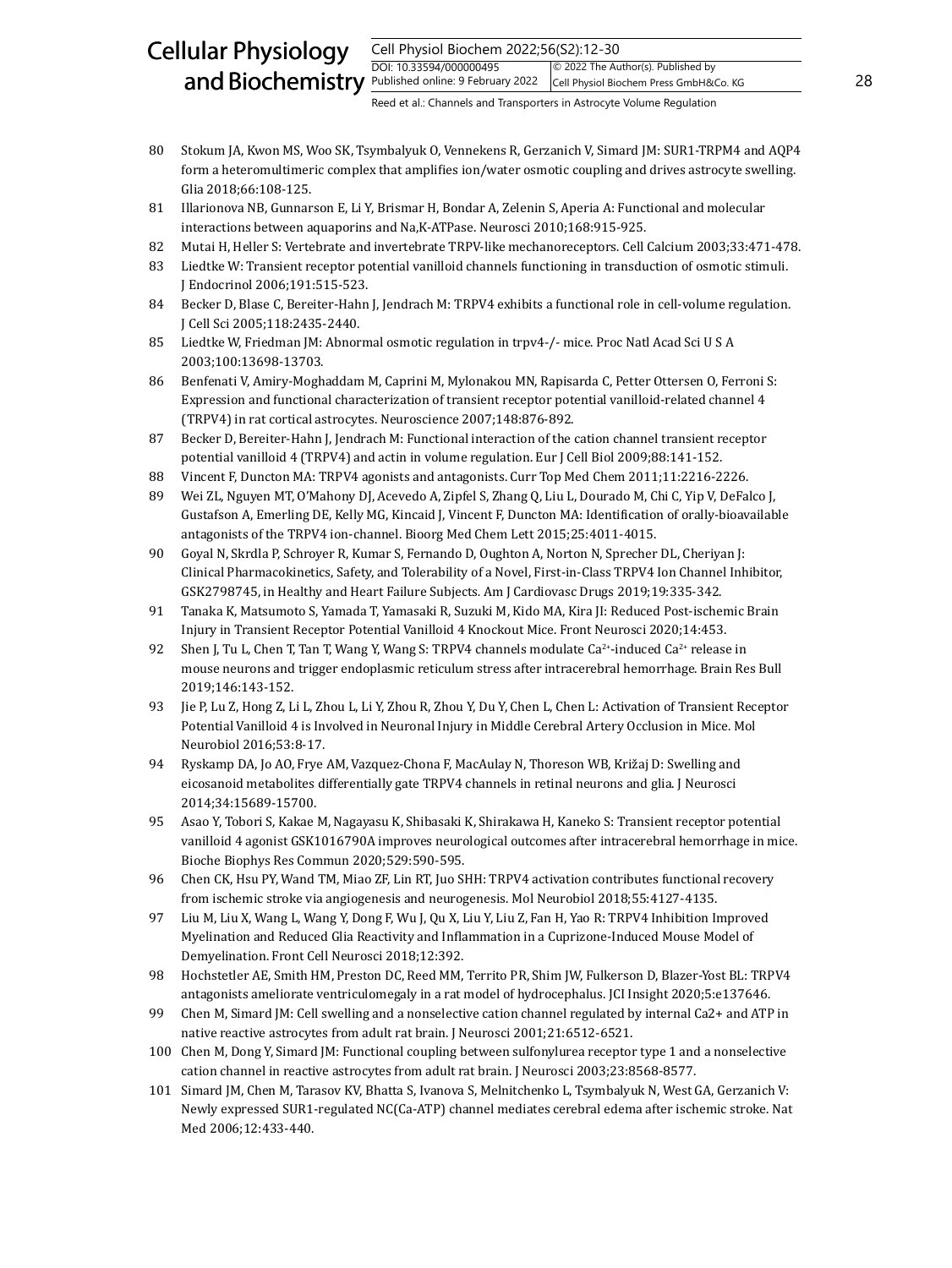#### Cell Physiol Biochem 2022;56(S2):12-30 DOI: 10.33594/000000495 and Biochemistry  $\frac{Published online: 9 February 2022}{Published Online: 9 February 2022}$  Cell Physiol Biochem Press GmbH&Co. KG 28 Cellular Physiology © 2022 The Author(s). Published by Cell Physiol Biochem Press GmbH&Co. KG

- 80 Stokum JA, Kwon MS, Woo SK, Tsymbalyuk O, Vennekens R, Gerzanich V, Simard JM: SUR1-TRPM4 and AQP4 form a heteromultimeric complex that amplifies ion/water osmotic coupling and drives astrocyte swelling. Glia 2018;66:108-125.
- 81 Illarionova NB, Gunnarson E, Li Y, Brismar H, Bondar A, Zelenin S, Aperia A: Functional and molecular interactions between aquaporins and Na,K-ATPase. Neurosci 2010;168:915-925.
- 82 Mutai H, Heller S: Vertebrate and invertebrate TRPV-like mechanoreceptors. Cell Calcium 2003;33:471-478.
- 83 Liedtke W: Transient receptor potential vanilloid channels functioning in transduction of osmotic stimuli. J Endocrinol 2006;191:515-523.
- 84 Becker D, Blase C, Bereiter-Hahn J, Jendrach M: TRPV4 exhibits a functional role in cell-volume regulation. J Cell Sci 2005;118:2435-2440.
- 85 Liedtke W, Friedman JM: Abnormal osmotic regulation in trpv4-/- mice. Proc Natl Acad Sci U S A 2003;100:13698-13703.
- 86 Benfenati V, Amiry-Moghaddam M, Caprini M, Mylonakou MN, Rapisarda C, Petter Ottersen O, Ferroni S: Expression and functional characterization of transient receptor potential vanilloid-related channel 4 (TRPV4) in rat cortical astrocytes. Neuroscience 2007;148:876-892.
- 87 Becker D, Bereiter-Hahn J, Jendrach M: Functional interaction of the cation channel transient receptor potential vanilloid 4 (TRPV4) and actin in volume regulation. Eur J Cell Biol 2009;88:141-152.
- 88 Vincent F, Duncton MA: TRPV4 agonists and antagonists. Curr Top Med Chem 2011;11:2216-2226.
- 89 Wei ZL, Nguyen MT, O'Mahony DJ, Acevedo A, Zipfel S, Zhang Q, Liu L, Dourado M, Chi C, Yip V, DeFalco J, Gustafson A, Emerling DE, Kelly MG, Kincaid J, Vincent F, Duncton MA: Identification of orally-bioavailable antagonists of the TRPV4 ion-channel. Bioorg Med Chem Lett 2015;25:4011-4015.
- 90 Goyal N, Skrdla P, Schroyer R, Kumar S, Fernando D, Oughton A, Norton N, Sprecher DL, Cheriyan J: Clinical Pharmacokinetics, Safety, and Tolerability of a Novel, First-in-Class TRPV4 Ion Channel Inhibitor, GSK2798745, in Healthy and Heart Failure Subjects*.* Am J Cardiovasc Drugs 2019;19:335-342.
- 91 Tanaka K, Matsumoto S, Yamada T, Yamasaki R, Suzuki M, Kido MA, Kira JI: Reduced Post-ischemic Brain Injury in Transient Receptor Potential Vanilloid 4 Knockout Mice. Front Neurosci 2020;14:453.
- 92 Shen J, Tu L, Chen T, Tan T, Wang Y, Wang S: TRPV4 channels modulate  $Ca^{2+}$ -induced  $Ca^{2+}$  release in mouse neurons and trigger endoplasmic reticulum stress after intracerebral hemorrhage. Brain Res Bull 2019;146:143-152.
- 93 Jie P, Lu Z, Hong Z, Li L, Zhou L, Li Y, Zhou R, Zhou Y, Du Y, Chen L, Chen L: Activation of Transient Receptor Potential Vanilloid 4 is Involved in Neuronal Injury in Middle Cerebral Artery Occlusion in Mice. Mol Neurobiol 2016;53:8-17.
- 94 Ryskamp DA, Jo AO, Frye AM, Vazquez-Chona F, MacAulay N, Thoreson WB, Križaj D: Swelling and eicosanoid metabolites differentially gate TRPV4 channels in retinal neurons and glia. J Neurosci 2014;34:15689-15700.
- 95 Asao Y, Tobori S, Kakae M, Nagayasu K, Shibasaki K, Shirakawa H, Kaneko S: Transient receptor potential vanilloid 4 agonist GSK1016790A improves neurological outcomes after intracerebral hemorrhage in mice. Bioche Biophys Res Commun 2020;529:590-595.
- 96 Chen CK, Hsu PY, Wand TM, Miao ZF, Lin RT, Juo SHH: TRPV4 activation contributes functional recovery from ischemic stroke via angiogenesis and neurogenesis. Mol Neurobiol 2018;55:4127-4135.
- 97 Liu M, Liu X, Wang L, Wang Y, Dong F, Wu J, Qu X, Liu Y, Liu Z, Fan H, Yao R: TRPV4 Inhibition Improved Myelination and Reduced Glia Reactivity and Inflammation in a Cuprizone-Induced Mouse Model of Demyelination. Front Cell Neurosci 2018;12:392.
- 98 Hochstetler AE, Smith HM, Preston DC, Reed MM, Territo PR, Shim JW, Fulkerson D, Blazer-Yost BL: TRPV4 antagonists ameliorate ventriculomegaly in a rat model of hydrocephalus. JCI Insight 2020;5:e137646.
- 99 Chen M, Simard JM: Cell swelling and a nonselective cation channel regulated by internal Ca2+ and ATP in native reactive astrocytes from adult rat brain. J Neurosci 2001;21:6512-6521.
- 100 Chen M, Dong Y, Simard JM: Functional coupling between sulfonylurea receptor type 1 and a nonselective cation channel in reactive astrocytes from adult rat brain. J Neurosci 2003;23:8568-8577.
- 101 Simard JM, Chen M, Tarasov KV, Bhatta S, Ivanova S, Melnitchenko L, Tsymbalyuk N, West GA, Gerzanich V: Newly expressed SUR1-regulated NC(Ca-ATP) channel mediates cerebral edema after ischemic stroke. Nat Med 2006;12:433-440.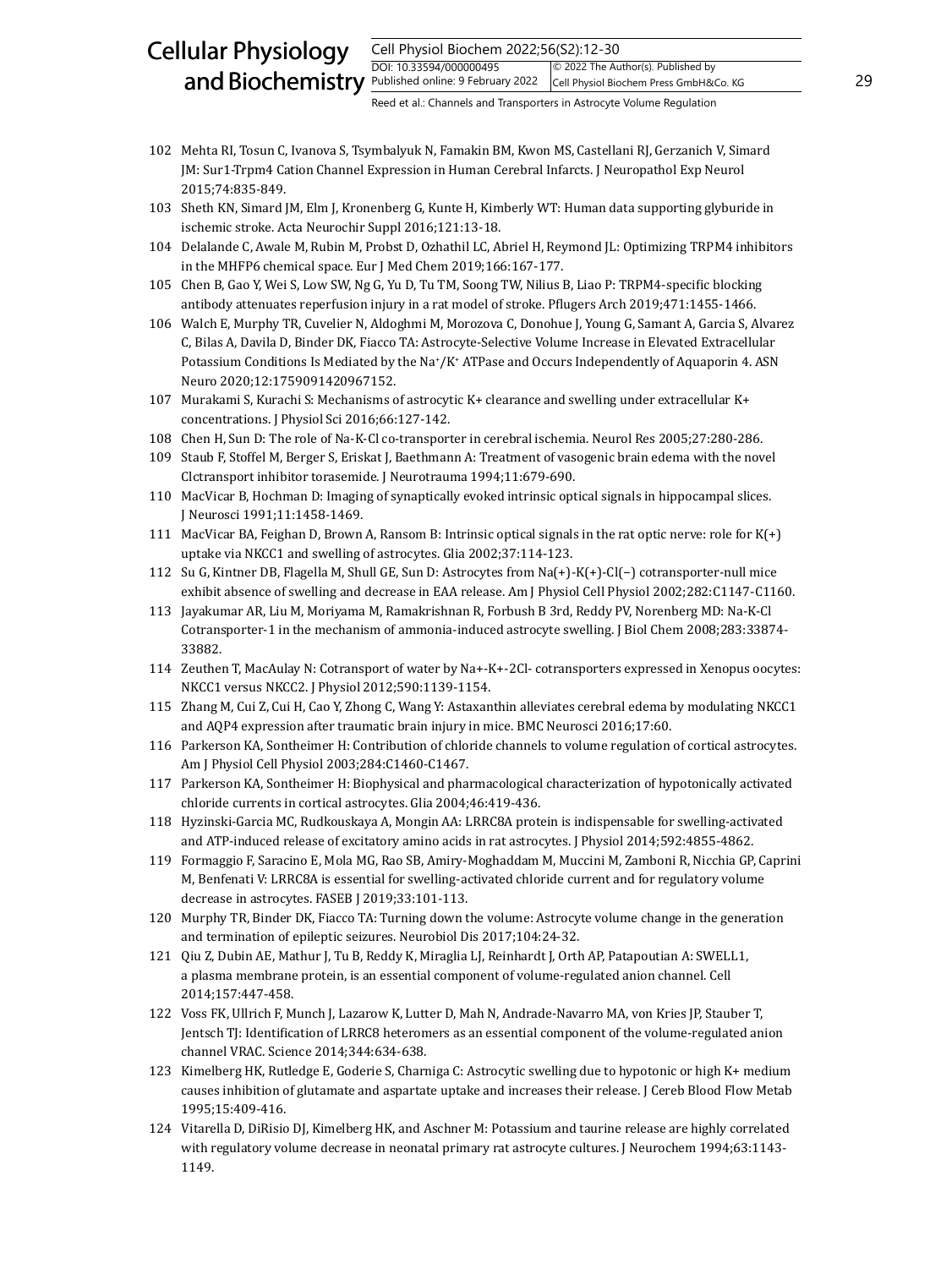#### Cell Physiol Biochem 2022;56(S2):12-30 DOI: 10.33594/000000495 and Biochemistry  $\frac{Published online: 9 February 2022}{Published Online: 9 February 2022}$  Cell Physiol Biochem Press GmbH&Co. KG 29 Cellular Physiology © 2022 The Author(s). Published by Cell Physiol Biochem Press GmbH&Co. KG

- 102 Mehta RI, Tosun C, Ivanova S, Tsymbalyuk N, Famakin BM, Kwon MS, Castellani RJ, Gerzanich V, Simard JM: Sur1-Trpm4 Cation Channel Expression in Human Cerebral Infarcts. J Neuropathol Exp Neurol 2015;74:835-849.
- 103 Sheth KN, Simard JM, Elm J, Kronenberg G, Kunte H, Kimberly WT: Human data supporting glyburide in ischemic stroke. Acta Neurochir Suppl 2016;121:13-18.
- 104 Delalande C, Awale M, Rubin M, Probst D, Ozhathil LC, Abriel H, Reymond JL: Optimizing TRPM4 inhibitors in the MHFP6 chemical space. Eur J Med Chem 2019;166:167-177.
- 105 Chen B, Gao Y, Wei S, Low SW, Ng G, Yu D, Tu TM, Soong TW, Nilius B, Liao P: TRPM4-specific blocking antibody attenuates reperfusion injury in a rat model of stroke. Pflugers Arch 2019;471:1455-1466.
- 106 Walch E, Murphy TR, Cuvelier N, Aldoghmi M, Morozova C, Donohue J, Young G, Samant A, Garcia S, Alvarez C, Bilas A, Davila D, Binder DK, Fiacco TA: Astrocyte-Selective Volume Increase in Elevated Extracellular Potassium Conditions Is Mediated by the Na $^{\circ}/$ K $^{\circ}$  ATPase and Occurs Independently of Aquaporin 4. ASN Neuro 2020;12:1759091420967152.
- 107 Murakami S, Kurachi S: Mechanisms of astrocytic K+ clearance and swelling under extracellular K+ concentrations. J Physiol Sci 2016;66:127-142.
- 108 Chen H, Sun D: The role of Na-K-Cl co-transporter in cerebral ischemia. Neurol Res 2005;27:280-286.
- 109 Staub F, Stoffel M, Berger S, Eriskat J, Baethmann A: Treatment of vasogenic brain edema with the novel Clctransport inhibitor torasemide. J Neurotrauma 1994;11:679-690.
- 110 MacVicar B, Hochman D: Imaging of synaptically evoked intrinsic optical signals in hippocampal slices. J Neurosci 1991;11:1458-1469.
- 111 MacVicar BA, Feighan D, Brown A, Ransom B: Intrinsic optical signals in the rat optic nerve: role for K(+) uptake via NKCC1 and swelling of astrocytes. Glia 2002;37:114-123.
- 112 Su G, Kintner DB, Flagella M, Shull GE, Sun D: Astrocytes from Na(+)-K(+)-Cl(−) cotransporter-null mice exhibit absence of swelling and decrease in EAA release. Am J Physiol Cell Physiol 2002;282:C1147-C1160.
- 113 Jayakumar AR, Liu M, Moriyama M, Ramakrishnan R, Forbush B 3rd, Reddy PV, Norenberg MD: Na-K-Cl Cotransporter-1 in the mechanism of ammonia-induced astrocyte swelling. J Biol Chem 2008;283:33874- 33882.
- 114 Zeuthen T, MacAulay N: Cotransport of water by Na+-K+-2Cl- cotransporters expressed in Xenopus oocytes: NKCC1 versus NKCC2. J Physiol 2012;590:1139-1154.
- 115 Zhang M, Cui Z, Cui H, Cao Y, Zhong C, Wang Y: Astaxanthin alleviates cerebral edema by modulating NKCC1 and AQP4 expression after traumatic brain injury in mice. BMC Neurosci 2016;17:60.
- 116 Parkerson KA, Sontheimer H: Contribution of chloride channels to volume regulation of cortical astrocytes. Am J Physiol Cell Physiol 2003;284:C1460-C1467.
- 117 Parkerson KA, Sontheimer H: Biophysical and pharmacological characterization of hypotonically activated chloride currents in cortical astrocytes. Glia 2004;46:419-436.
- 118 Hyzinski-Garcia MC, Rudkouskaya A, Mongin AA: LRRC8A protein is indispensable for swelling-activated and ATP-induced release of excitatory amino acids in rat astrocytes. J Physiol 2014;592:4855-4862.
- 119 Formaggio F, Saracino E, Mola MG, Rao SB, Amiry-Moghaddam M, Muccini M, Zamboni R, Nicchia GP, Caprini M, Benfenati V: LRRC8A is essential for swelling-activated chloride current and for regulatory volume decrease in astrocytes. FASEB J 2019;33:101-113.
- 120 Murphy TR, Binder DK, Fiacco TA: Turning down the volume: Astrocyte volume change in the generation and termination of epileptic seizures. Neurobiol Dis 2017;104:24-32.
- 121 Qiu Z, Dubin AE, Mathur J, Tu B, Reddy K, Miraglia LJ, Reinhardt J, Orth AP, Patapoutian A: SWELL1, a plasma membrane protein, is an essential component of volume-regulated anion channel. Cell 2014;157:447-458.
- 122 Voss FK, Ullrich F, Munch J, Lazarow K, Lutter D, Mah N, Andrade-Navarro MA, von Kries JP, Stauber T, Jentsch TJ: Identification of LRRC8 heteromers as an essential component of the volume-regulated anion channel VRAC. Science 2014;344:634-638.
- 123 Kimelberg HK, Rutledge E, Goderie S, Charniga C: Astrocytic swelling due to hypotonic or high K+ medium causes inhibition of glutamate and aspartate uptake and increases their release. J Cereb Blood Flow Metab 1995;15:409-416.
- 124 Vitarella D, DiRisio DJ, Kimelberg HK, and Aschner M: Potassium and taurine release are highly correlated with regulatory volume decrease in neonatal primary rat astrocyte cultures. J Neurochem 1994;63:1143- 1149.